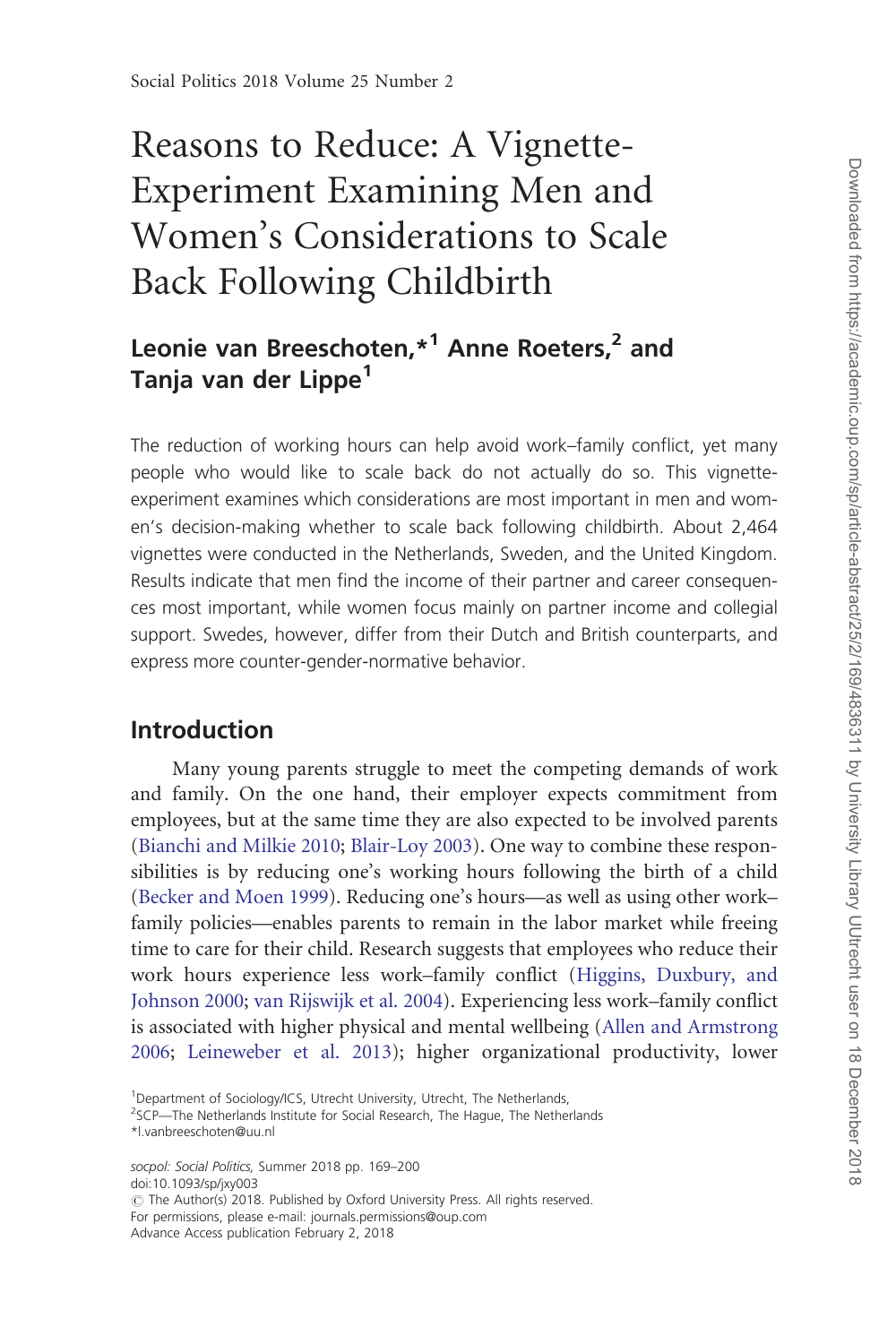# Reasons to Reduce: A Vignette-Experiment Examining Men and Women's Considerations to Scale Back Following Childbirth

# Leonie van Breeschoten.<sup>\*1</sup> Anne Roeters.<sup>2</sup> and Tanja van der Lippe<sup>1</sup>

The reduction of working hours can help avoid work–family conflict, yet many people who would like to scale back do not actually do so. This vignetteexperiment examines which considerations are most important in men and women's decision-making whether to scale back following childbirth. About 2,464 vignettes were conducted in the Netherlands, Sweden, and the United Kingdom. Results indicate that men find the income of their partner and career consequences most important, while women focus mainly on partner income and collegial support. Swedes, however, differ from their Dutch and British counterparts, and express more counter-gender-normative behavior.

# Introduction

Many young parents struggle to meet the competing demands of work and family. On the one hand, their employer expects commitment from employees, but at the same time they are also expected to be involved parents ([Bianchi and Milkie 2010](#page-27-0); [Blair-Loy 2003\)](#page-27-0). One way to combine these responsibilities is by reducing one's working hours following the birth of a child ([Becker and Moen 1999](#page-26-0)). Reducing one's hours—as well as using other work– family policies—enables parents to remain in the labor market while freeing time to care for their child. Research suggests that employees who reduce their work hours experience less work–family conflict ([Higgins, Duxbury, and](#page-28-0) [Johnson 2000;](#page-28-0) [van Rijswijk et al. 2004](#page-30-0)). Experiencing less work–family conflict is associated with higher physical and mental wellbeing [\(Allen and Armstrong](#page-26-0) [2006;](#page-26-0) [Leineweber et al. 2013\)](#page-29-0); higher organizational productivity, lower

socpol: Social Politics, Summer 2018 pp. 169–200 doi:10.1093/sp/jxy003  $\circled{c}$  The Author(s) 2018. Published by Oxford University Press. All rights reserved. For permissions, please e-mail: journals.permissions@oup.com Advance Access publication February 2, 2018

<sup>&</sup>lt;sup>1</sup>Department of Sociology/ICS, Utrecht University, Utrecht, The Netherlands,

<sup>&</sup>lt;sup>2</sup>SCP-The Netherlands Institute for Social Research, The Hague, The Netherlands

<sup>\*</sup>l.vanbreeschoten@uu.nl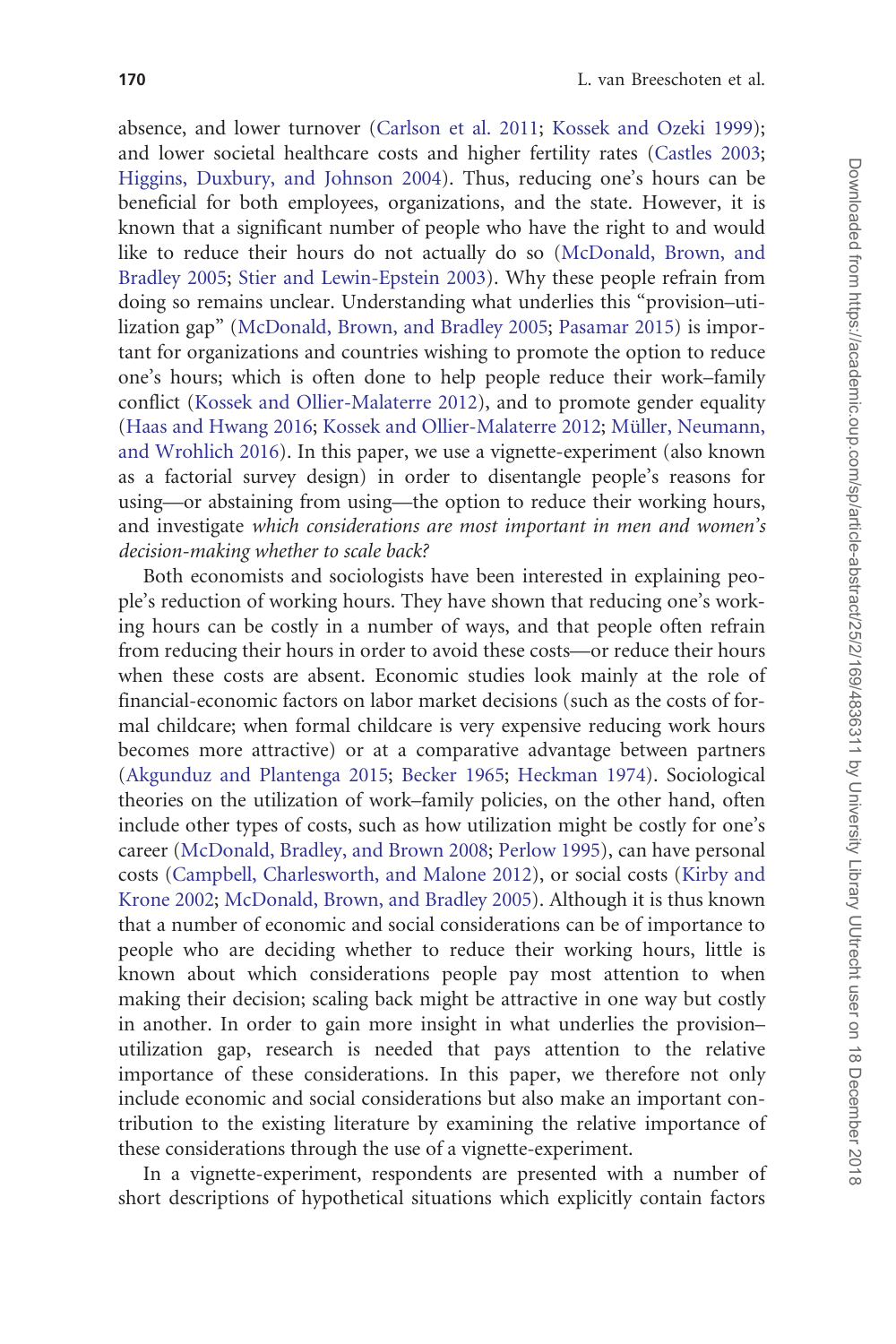absence, and lower turnover ([Carlson et al. 2011;](#page-27-0) [Kossek and Ozeki 1999\)](#page-29-0); and lower societal healthcare costs and higher fertility rates ([Castles 2003;](#page-27-0) [Higgins, Duxbury, and Johnson 2004\)](#page-28-0). Thus, reducing one's hours can be beneficial for both employees, organizations, and the state. However, it is known that a significant number of people who have the right to and would like to reduce their hours do not actually do so ([McDonald, Brown, and](#page-29-0) [Bradley 2005](#page-29-0); [Stier and Lewin-Epstein 2003](#page-30-0)). Why these people refrain from doing so remains unclear. Understanding what underlies this "provision–utilization gap" ([McDonald, Brown, and Bradley 2005](#page-29-0); [Pasamar 2015\)](#page-30-0) is important for organizations and countries wishing to promote the option to reduce one's hours; which is often done to help people reduce their work–family conflict ([Kossek and Ollier-Malaterre 2012](#page-29-0)), and to promote gender equality ([Haas and Hwang 2016;](#page-28-0) [Kossek and Ollier-Malaterre 2012;](#page-29-0) Müller, Neumann, [and Wrohlich 2016\)](#page-30-0). In this paper, we use a vignette-experiment (also known as a factorial survey design) in order to disentangle people's reasons for using—or abstaining from using—the option to reduce their working hours, and investigate which considerations are most important in men and women's decision-making whether to scale back?

Both economists and sociologists have been interested in explaining people's reduction of working hours. They have shown that reducing one's working hours can be costly in a number of ways, and that people often refrain from reducing their hours in order to avoid these costs—or reduce their hours when these costs are absent. Economic studies look mainly at the role of financial-economic factors on labor market decisions (such as the costs of formal childcare; when formal childcare is very expensive reducing work hours becomes more attractive) or at a comparative advantage between partners ([Akgunduz and Plantenga 2015](#page-26-0); [Becker 1965](#page-26-0); [Heckman 1974](#page-28-0)). Sociological theories on the utilization of work–family policies, on the other hand, often include other types of costs, such as how utilization might be costly for one's career [\(McDonald, Bradley, and Brown 2008](#page-29-0); [Perlow 1995](#page-30-0)), can have personal costs [\(Campbell, Charlesworth, and Malone 2012](#page-27-0)), or social costs ([Kirby and](#page-29-0) [Krone 2002](#page-29-0); [McDonald, Brown, and Bradley 2005](#page-29-0)). Although it is thus known that a number of economic and social considerations can be of importance to people who are deciding whether to reduce their working hours, little is known about which considerations people pay most attention to when making their decision; scaling back might be attractive in one way but costly in another. In order to gain more insight in what underlies the provision– utilization gap, research is needed that pays attention to the relative importance of these considerations. In this paper, we therefore not only include economic and social considerations but also make an important contribution to the existing literature by examining the relative importance of these considerations through the use of a vignette-experiment.

In a vignette-experiment, respondents are presented with a number of short descriptions of hypothetical situations which explicitly contain factors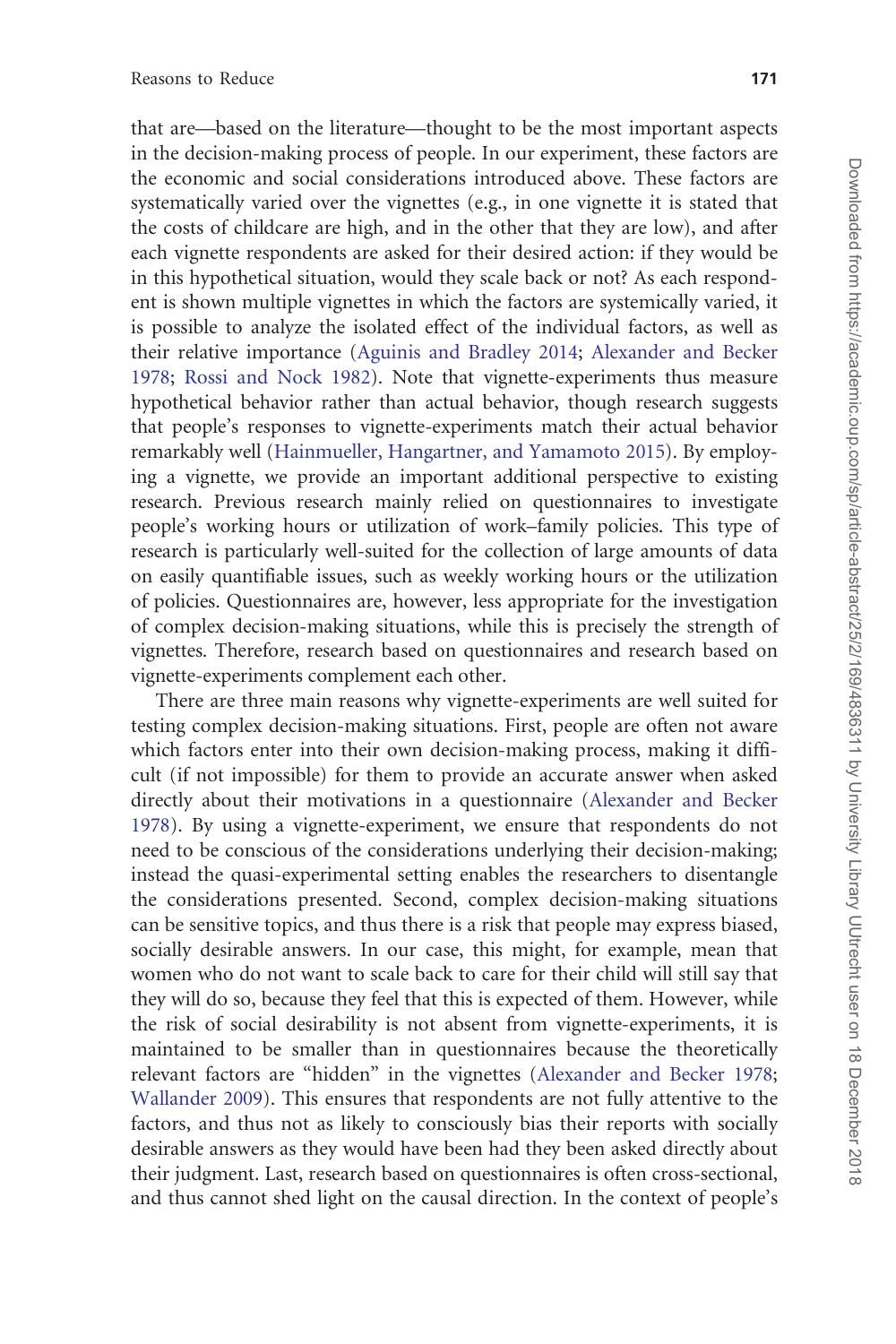that are—based on the literature—thought to be the most important aspects in the decision-making process of people. In our experiment, these factors are the economic and social considerations introduced above. These factors are systematically varied over the vignettes (e.g., in one vignette it is stated that the costs of childcare are high, and in the other that they are low), and after each vignette respondents are asked for their desired action: if they would be in this hypothetical situation, would they scale back or not? As each respondent is shown multiple vignettes in which the factors are systemically varied, it is possible to analyze the isolated effect of the individual factors, as well as their relative importance [\(Aguinis and Bradley 2014;](#page-26-0) [Alexander and Becker](#page-26-0) [1978;](#page-26-0) [Rossi and Nock 1982\)](#page-30-0). Note that vignette-experiments thus measure hypothetical behavior rather than actual behavior, though research suggests that people's responses to vignette-experiments match their actual behavior remarkably well [\(Hainmueller, Hangartner, and Yamamoto 2015\)](#page-28-0). By employing a vignette, we provide an important additional perspective to existing research. Previous research mainly relied on questionnaires to investigate people's working hours or utilization of work–family policies. This type of research is particularly well-suited for the collection of large amounts of data on easily quantifiable issues, such as weekly working hours or the utilization of policies. Questionnaires are, however, less appropriate for the investigation of complex decision-making situations, while this is precisely the strength of vignettes. Therefore, research based on questionnaires and research based on vignette-experiments complement each other.

There are three main reasons why vignette-experiments are well suited for testing complex decision-making situations. First, people are often not aware which factors enter into their own decision-making process, making it difficult (if not impossible) for them to provide an accurate answer when asked directly about their motivations in a questionnaire [\(Alexander and Becker](#page-26-0) [1978\)](#page-26-0). By using a vignette-experiment, we ensure that respondents do not need to be conscious of the considerations underlying their decision-making; instead the quasi-experimental setting enables the researchers to disentangle the considerations presented. Second, complex decision-making situations can be sensitive topics, and thus there is a risk that people may express biased, socially desirable answers. In our case, this might, for example, mean that women who do not want to scale back to care for their child will still say that they will do so, because they feel that this is expected of them. However, while the risk of social desirability is not absent from vignette-experiments, it is maintained to be smaller than in questionnaires because the theoretically relevant factors are "hidden" in the vignettes [\(Alexander and Becker 1978;](#page-26-0) [Wallander 2009\)](#page-31-0). This ensures that respondents are not fully attentive to the factors, and thus not as likely to consciously bias their reports with socially desirable answers as they would have been had they been asked directly about their judgment. Last, research based on questionnaires is often cross-sectional, and thus cannot shed light on the causal direction. In the context of people's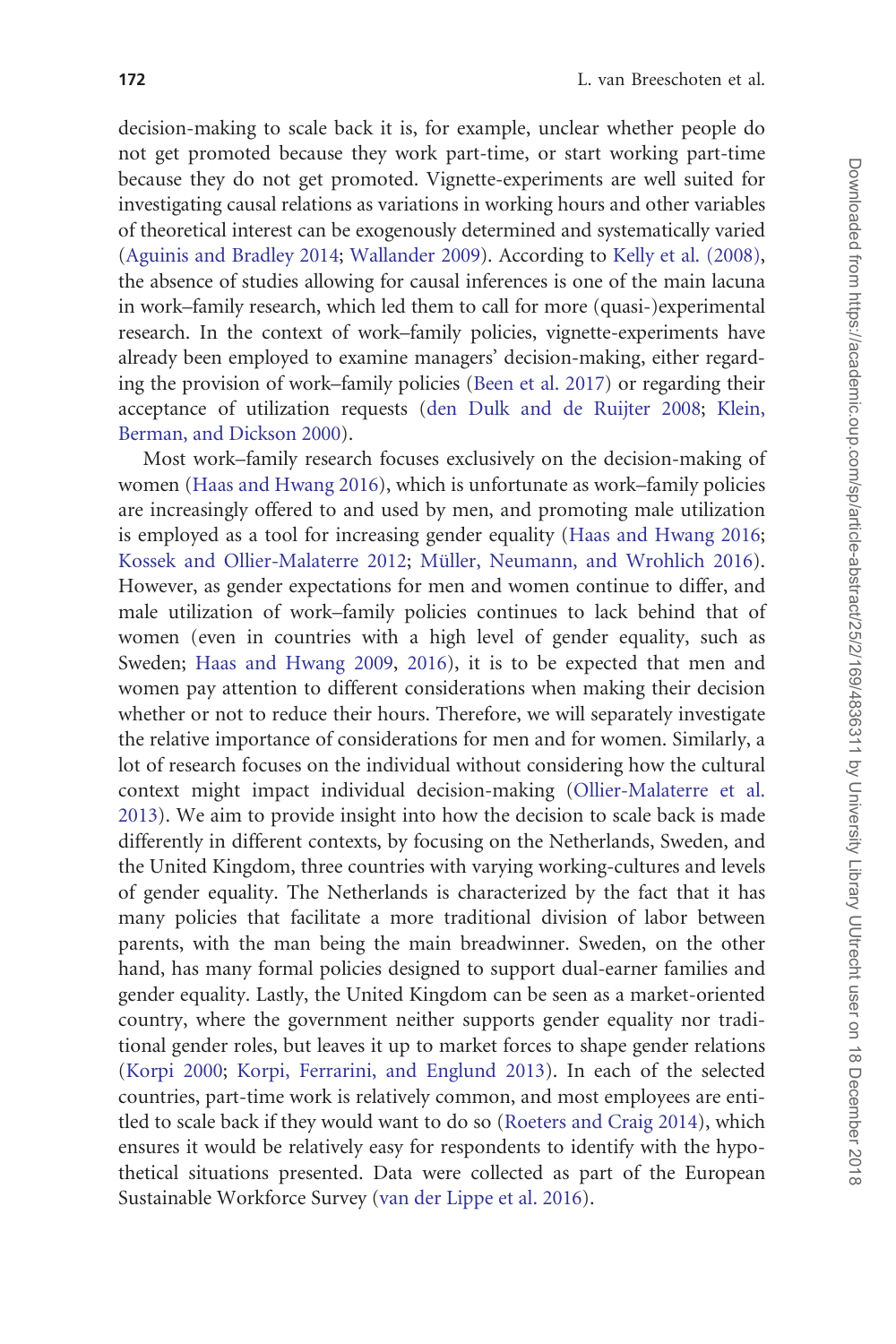decision-making to scale back it is, for example, unclear whether people do not get promoted because they work part-time, or start working part-time because they do not get promoted. Vignette-experiments are well suited for investigating causal relations as variations in working hours and other variables of theoretical interest can be exogenously determined and systematically varied ([Aguinis and Bradley 2014](#page-26-0); [Wallander 2009](#page-31-0)). According to [Kelly et al. \(2008\),](#page-29-0) the absence of studies allowing for causal inferences is one of the main lacuna in work–family research, which led them to call for more (quasi-)experimental research. In the context of work–family policies, vignette-experiments have already been employed to examine managers' decision-making, either regarding the provision of work–family policies [\(Been et al. 2017](#page-27-0)) or regarding their acceptance of utilization requests ([den Dulk and de Ruijter 2008;](#page-27-0) [Klein,](#page-29-0) [Berman, and Dickson 2000](#page-29-0)).

Most work–family research focuses exclusively on the decision-making of women ([Haas and Hwang 2016](#page-28-0)), which is unfortunate as work–family policies are increasingly offered to and used by men, and promoting male utilization is employed as a tool for increasing gender equality [\(Haas and Hwang 2016;](#page-28-0) [Kossek and Ollier-Malaterre 2012](#page-29-0); Müller, Neumann, and Wrohlich 2016). However, as gender expectations for men and women continue to differ, and male utilization of work–family policies continues to lack behind that of women (even in countries with a high level of gender equality, such as Sweden; [Haas and Hwang 2009,](#page-28-0) [2016](#page-28-0)), it is to be expected that men and women pay attention to different considerations when making their decision whether or not to reduce their hours. Therefore, we will separately investigate the relative importance of considerations for men and for women. Similarly, a lot of research focuses on the individual without considering how the cultural context might impact individual decision-making ([Ollier-Malaterre et al.](#page-30-0) [2013\)](#page-30-0). We aim to provide insight into how the decision to scale back is made differently in different contexts, by focusing on the Netherlands, Sweden, and the United Kingdom, three countries with varying working-cultures and levels of gender equality. The Netherlands is characterized by the fact that it has many policies that facilitate a more traditional division of labor between parents, with the man being the main breadwinner. Sweden, on the other hand, has many formal policies designed to support dual-earner families and gender equality. Lastly, the United Kingdom can be seen as a market-oriented country, where the government neither supports gender equality nor traditional gender roles, but leaves it up to market forces to shape gender relations ([Korpi 2000](#page-29-0); [Korpi, Ferrarini, and Englund 2013\)](#page-29-0). In each of the selected countries, part-time work is relatively common, and most employees are entitled to scale back if they would want to do so [\(Roeters and Craig 2014](#page-30-0)), which ensures it would be relatively easy for respondents to identify with the hypothetical situations presented. Data were collected as part of the European Sustainable Workforce Survey [\(van der Lippe et al. 2016\)](#page-30-0).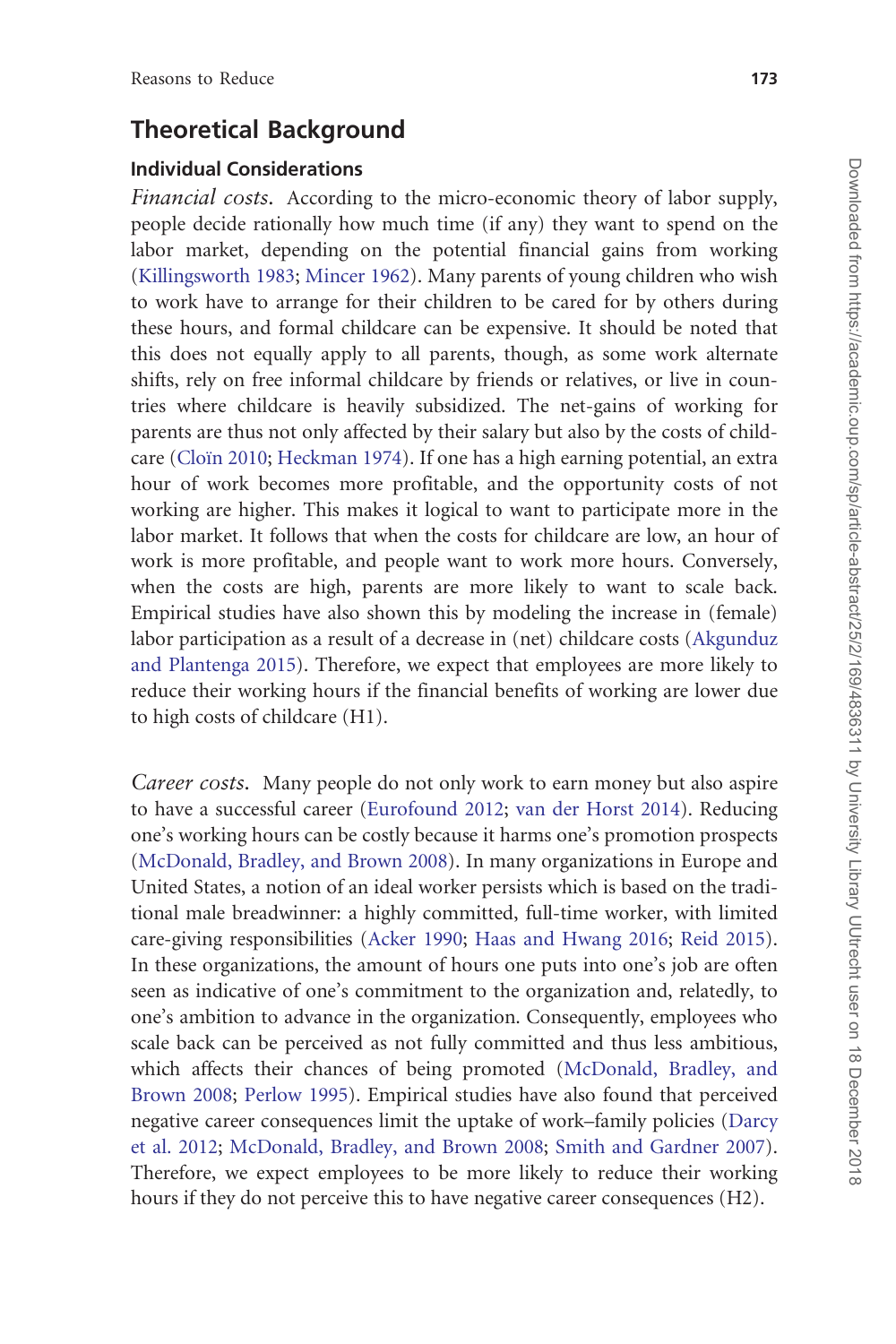# Theoretical Background

### Individual Considerations

Financial costs. According to the micro-economic theory of labor supply, people decide rationally how much time (if any) they want to spend on the labor market, depending on the potential financial gains from working ([Killingsworth 1983](#page-29-0); [Mincer 1962\)](#page-29-0). Many parents of young children who wish to work have to arrange for their children to be cared for by others during these hours, and formal childcare can be expensive. It should be noted that this does not equally apply to all parents, though, as some work alternate shifts, rely on free informal childcare by friends or relatives, or live in countries where childcare is heavily subsidized. The net-gains of working for parents are thus not only affected by their salary but also by the costs of child-care (Cloïn 2010; [Heckman 1974\)](#page-28-0). If one has a high earning potential, an extra hour of work becomes more profitable, and the opportunity costs of not working are higher. This makes it logical to want to participate more in the labor market. It follows that when the costs for childcare are low, an hour of work is more profitable, and people want to work more hours. Conversely, when the costs are high, parents are more likely to want to scale back. Empirical studies have also shown this by modeling the increase in (female) labor participation as a result of a decrease in (net) childcare costs ([Akgunduz](#page-26-0) [and Plantenga 2015\)](#page-26-0). Therefore, we expect that employees are more likely to reduce their working hours if the financial benefits of working are lower due to high costs of childcare (H1).

Career costs. Many people do not only work to earn money but also aspire to have a successful career [\(Eurofound 2012;](#page-27-0) [van der Horst 2014\)](#page-30-0). Reducing one's working hours can be costly because it harms one's promotion prospects ([McDonald, Bradley, and Brown 2008\)](#page-29-0). In many organizations in Europe and United States, a notion of an ideal worker persists which is based on the traditional male breadwinner: a highly committed, full-time worker, with limited care-giving responsibilities [\(Acker 1990](#page-26-0); [Haas and Hwang 2016](#page-28-0); [Reid 2015\)](#page-30-0). In these organizations, the amount of hours one puts into one's job are often seen as indicative of one's commitment to the organization and, relatedly, to one's ambition to advance in the organization. Consequently, employees who scale back can be perceived as not fully committed and thus less ambitious, which affects their chances of being promoted ([McDonald, Bradley, and](#page-29-0) [Brown 2008](#page-29-0); [Perlow 1995\)](#page-30-0). Empirical studies have also found that perceived negative career consequences limit the uptake of work–family policies [\(Darcy](#page-27-0) [et al. 2012;](#page-27-0) [McDonald, Bradley, and Brown 2008](#page-29-0); [Smith and Gardner 2007\)](#page-30-0). Therefore, we expect employees to be more likely to reduce their working hours if they do not perceive this to have negative career consequences (H2).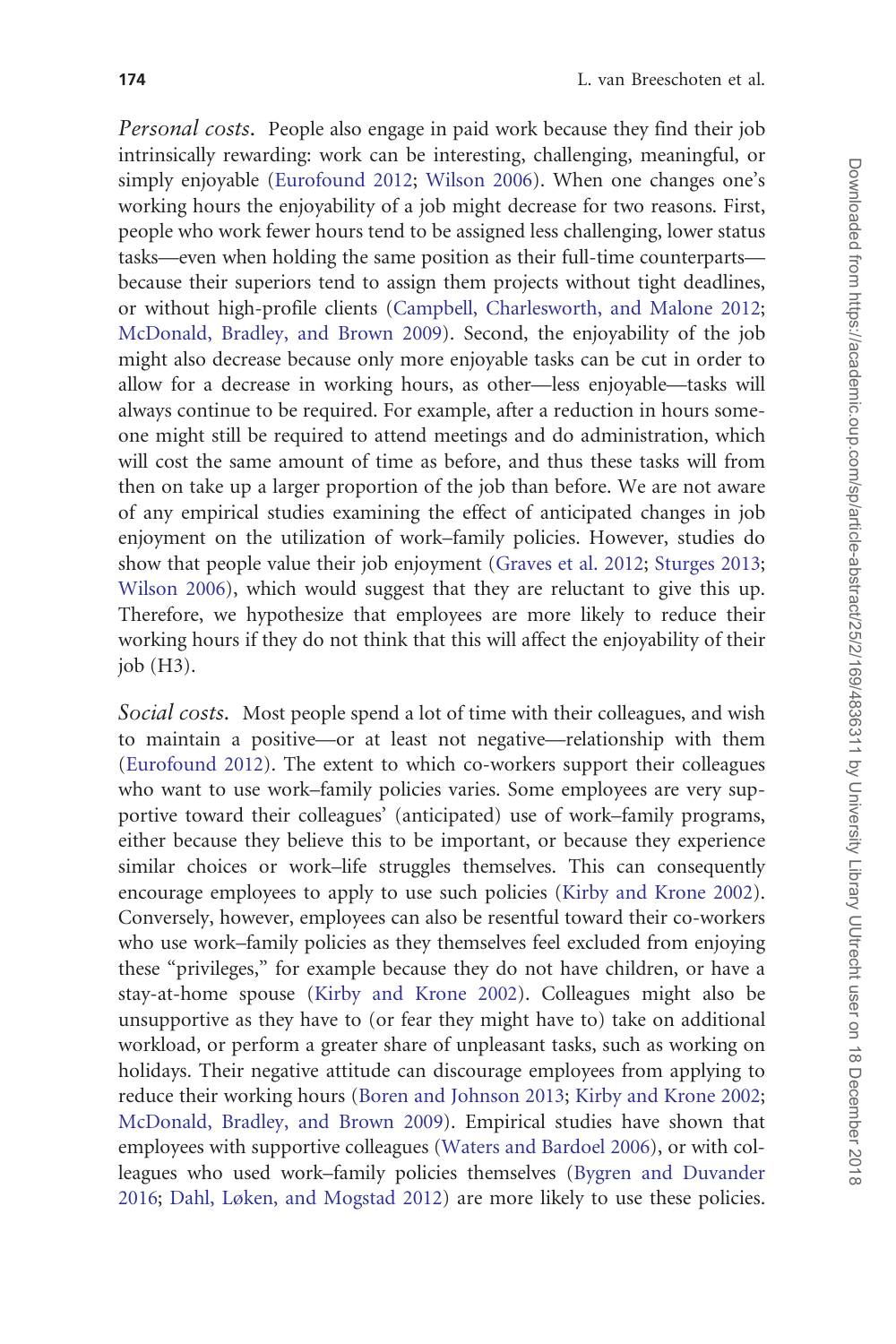Personal costs. People also engage in paid work because they find their job intrinsically rewarding: work can be interesting, challenging, meaningful, or simply enjoyable [\(Eurofound 2012;](#page-27-0) [Wilson 2006\)](#page-31-0). When one changes one's working hours the enjoyability of a job might decrease for two reasons. First, people who work fewer hours tend to be assigned less challenging, lower status tasks—even when holding the same position as their full-time counterparts because their superiors tend to assign them projects without tight deadlines, or without high-profile clients ([Campbell, Charlesworth, and Malone 2012;](#page-27-0) [McDonald, Bradley, and Brown 2009](#page-29-0)). Second, the enjoyability of the job might also decrease because only more enjoyable tasks can be cut in order to allow for a decrease in working hours, as other—less enjoyable—tasks will always continue to be required. For example, after a reduction in hours someone might still be required to attend meetings and do administration, which will cost the same amount of time as before, and thus these tasks will from then on take up a larger proportion of the job than before. We are not aware of any empirical studies examining the effect of anticipated changes in job enjoyment on the utilization of work–family policies. However, studies do show that people value their job enjoyment [\(Graves et al. 2012](#page-28-0); [Sturges 2013;](#page-30-0) [Wilson 2006\)](#page-31-0), which would suggest that they are reluctant to give this up. Therefore, we hypothesize that employees are more likely to reduce their working hours if they do not think that this will affect the enjoyability of their job (H3).

Social costs. Most people spend a lot of time with their colleagues, and wish to maintain a positive—or at least not negative—relationship with them ([Eurofound 2012\)](#page-27-0). The extent to which co-workers support their colleagues who want to use work–family policies varies. Some employees are very supportive toward their colleagues' (anticipated) use of work–family programs, either because they believe this to be important, or because they experience similar choices or work–life struggles themselves. This can consequently encourage employees to apply to use such policies [\(Kirby and Krone 2002\)](#page-29-0). Conversely, however, employees can also be resentful toward their co-workers who use work–family policies as they themselves feel excluded from enjoying these "privileges," for example because they do not have children, or have a stay-at-home spouse ([Kirby and Krone 2002](#page-29-0)). Colleagues might also be unsupportive as they have to (or fear they might have to) take on additional workload, or perform a greater share of unpleasant tasks, such as working on holidays. Their negative attitude can discourage employees from applying to reduce their working hours ([Boren and Johnson 2013](#page-27-0); [Kirby and Krone 2002;](#page-29-0) [McDonald, Bradley, and Brown 2009\)](#page-29-0). Empirical studies have shown that employees with supportive colleagues ([Waters and Bardoel 2006](#page-31-0)), or with colleagues who used work–family policies themselves ([Bygren and Duvander](#page-27-0) [2016;](#page-27-0) [Dahl, Løken, and Mogstad 2012](#page-27-0)) are more likely to use these policies.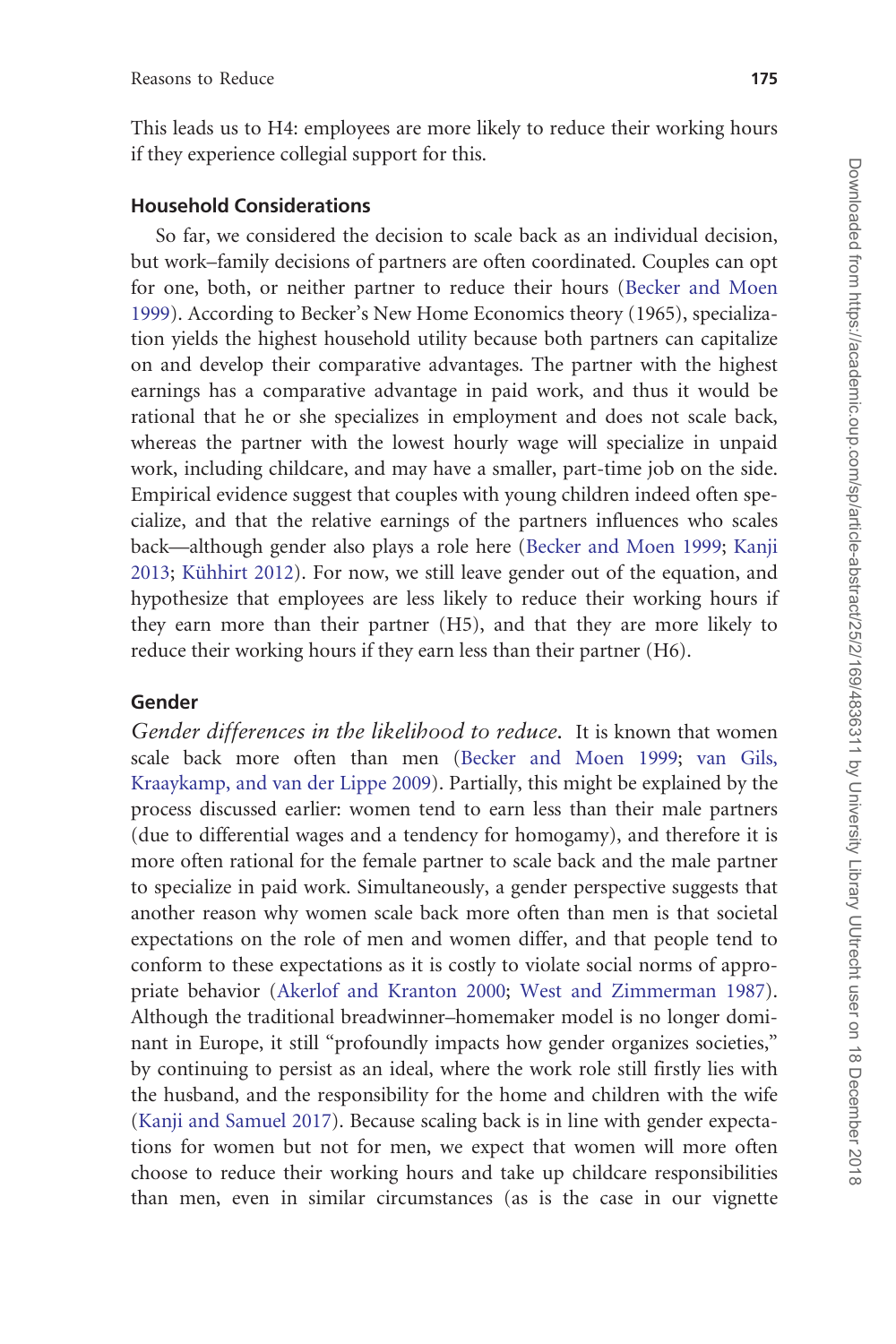This leads us to H4: employees are more likely to reduce their working hours if they experience collegial support for this.

#### Household Considerations

So far, we considered the decision to scale back as an individual decision, but work–family decisions of partners are often coordinated. Couples can opt for one, both, or neither partner to reduce their hours [\(Becker and Moen](#page-26-0) [1999\)](#page-26-0). According to Becker's New Home Economics theory (1965), specialization yields the highest household utility because both partners can capitalize on and develop their comparative advantages. The partner with the highest earnings has a comparative advantage in paid work, and thus it would be rational that he or she specializes in employment and does not scale back, whereas the partner with the lowest hourly wage will specialize in unpaid work, including childcare, and may have a smaller, part-time job on the side. Empirical evidence suggest that couples with young children indeed often specialize, and that the relative earnings of the partners influences who scales back—although gender also plays a role here ([Becker and Moen 1999;](#page-26-0) [Kanji](#page-28-0) [2013;](#page-28-0) Kühhirt 2012). For now, we still leave gender out of the equation, and hypothesize that employees are less likely to reduce their working hours if they earn more than their partner (H5), and that they are more likely to reduce their working hours if they earn less than their partner (H6).

#### Gender

Gender differences in the likelihood to reduce. It is known that women scale back more often than men [\(Becker and Moen 1999;](#page-26-0) [van Gils,](#page-30-0) [Kraaykamp, and van der Lippe 2009\)](#page-30-0). Partially, this might be explained by the process discussed earlier: women tend to earn less than their male partners (due to differential wages and a tendency for homogamy), and therefore it is more often rational for the female partner to scale back and the male partner to specialize in paid work. Simultaneously, a gender perspective suggests that another reason why women scale back more often than men is that societal expectations on the role of men and women differ, and that people tend to conform to these expectations as it is costly to violate social norms of appropriate behavior ([Akerlof and Kranton 2000;](#page-26-0) [West and Zimmerman 1987\)](#page-31-0). Although the traditional breadwinner–homemaker model is no longer dominant in Europe, it still "profoundly impacts how gender organizes societies," by continuing to persist as an ideal, where the work role still firstly lies with the husband, and the responsibility for the home and children with the wife ([Kanji and Samuel 2017\)](#page-28-0). Because scaling back is in line with gender expectations for women but not for men, we expect that women will more often choose to reduce their working hours and take up childcare responsibilities than men, even in similar circumstances (as is the case in our vignette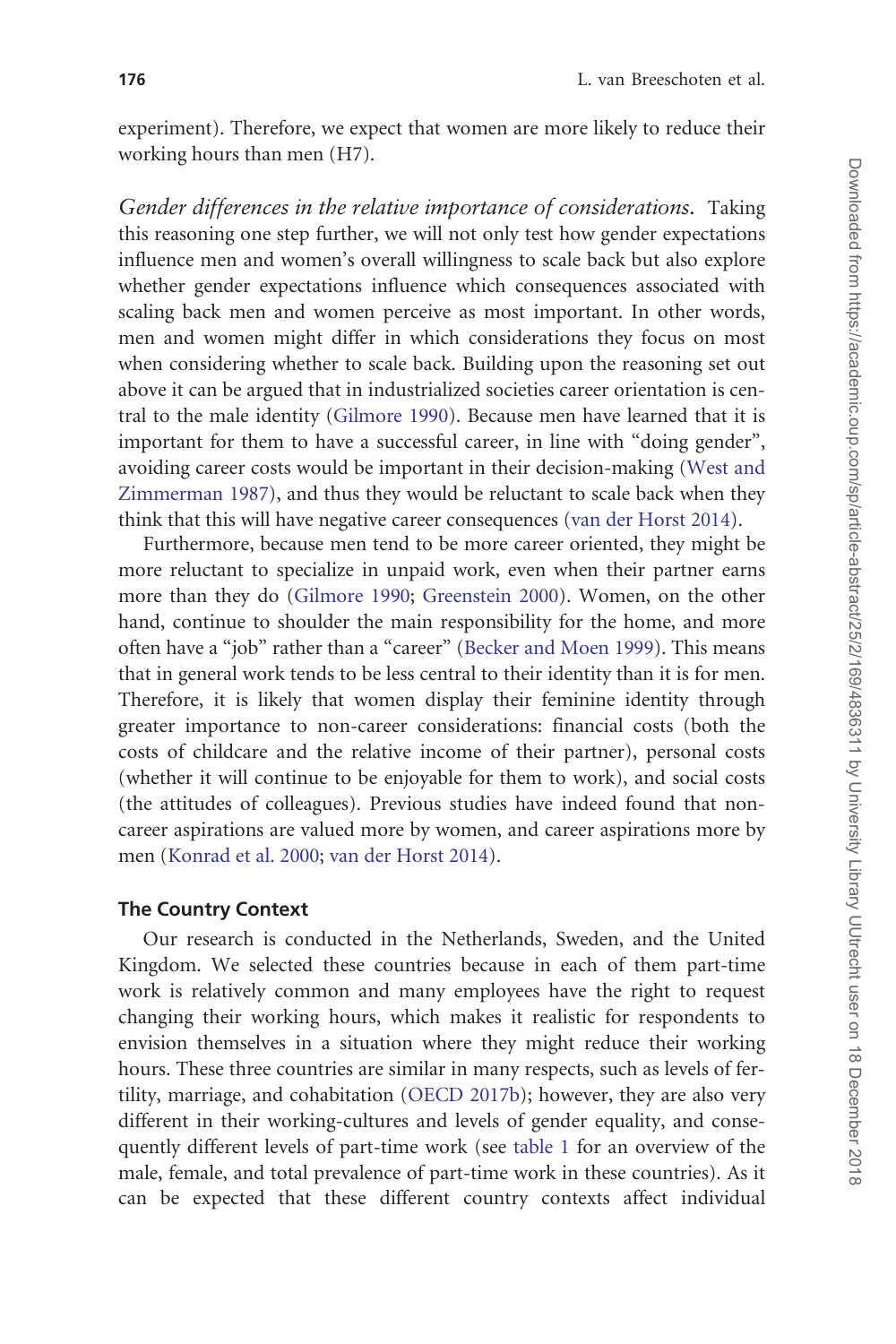experiment). Therefore, we expect that women are more likely to reduce their working hours than men (H7).

Gender differences in the relative importance of considerations. Taking this reasoning one step further, we will not only test how gender expectations influence men and women's overall willingness to scale back but also explore whether gender expectations influence which consequences associated with scaling back men and women perceive as most important. In other words, men and women might differ in which considerations they focus on most when considering whether to scale back. Building upon the reasoning set out above it can be argued that in industrialized societies career orientation is central to the male identity ([Gilmore 1990](#page-28-0)). Because men have learned that it is important for them to have a successful career, in line with "doing gender", avoiding career costs would be important in their decision-making [\(West and](#page-31-0) [Zimmerman 1987](#page-31-0)), and thus they would be reluctant to scale back when they think that this will have negative career consequences [\(van der Horst 2014](#page-30-0)).

Furthermore, because men tend to be more career oriented, they might be more reluctant to specialize in unpaid work, even when their partner earns more than they do ([Gilmore 1990;](#page-28-0) [Greenstein 2000](#page-28-0)). Women, on the other hand, continue to shoulder the main responsibility for the home, and more often have a "job" rather than a "career" ([Becker and Moen 1999](#page-26-0)). This means that in general work tends to be less central to their identity than it is for men. Therefore, it is likely that women display their feminine identity through greater importance to non-career considerations: financial costs (both the costs of childcare and the relative income of their partner), personal costs (whether it will continue to be enjoyable for them to work), and social costs (the attitudes of colleagues). Previous studies have indeed found that noncareer aspirations are valued more by women, and career aspirations more by men ([Konrad et al. 2000;](#page-29-0) [van der Horst 2014\)](#page-30-0).

#### The Country Context

Our research is conducted in the Netherlands, Sweden, and the United Kingdom. We selected these countries because in each of them part-time work is relatively common and many employees have the right to request changing their working hours, which makes it realistic for respondents to envision themselves in a situation where they might reduce their working hours. These three countries are similar in many respects, such as levels of fertility, marriage, and cohabitation ([OECD 2017b\)](#page-30-0); however, they are also very different in their working-cultures and levels of gender equality, and consequently different levels of part-time work (see [table 1](#page-8-0) for an overview of the male, female, and total prevalence of part-time work in these countries). As it can be expected that these different country contexts affect individual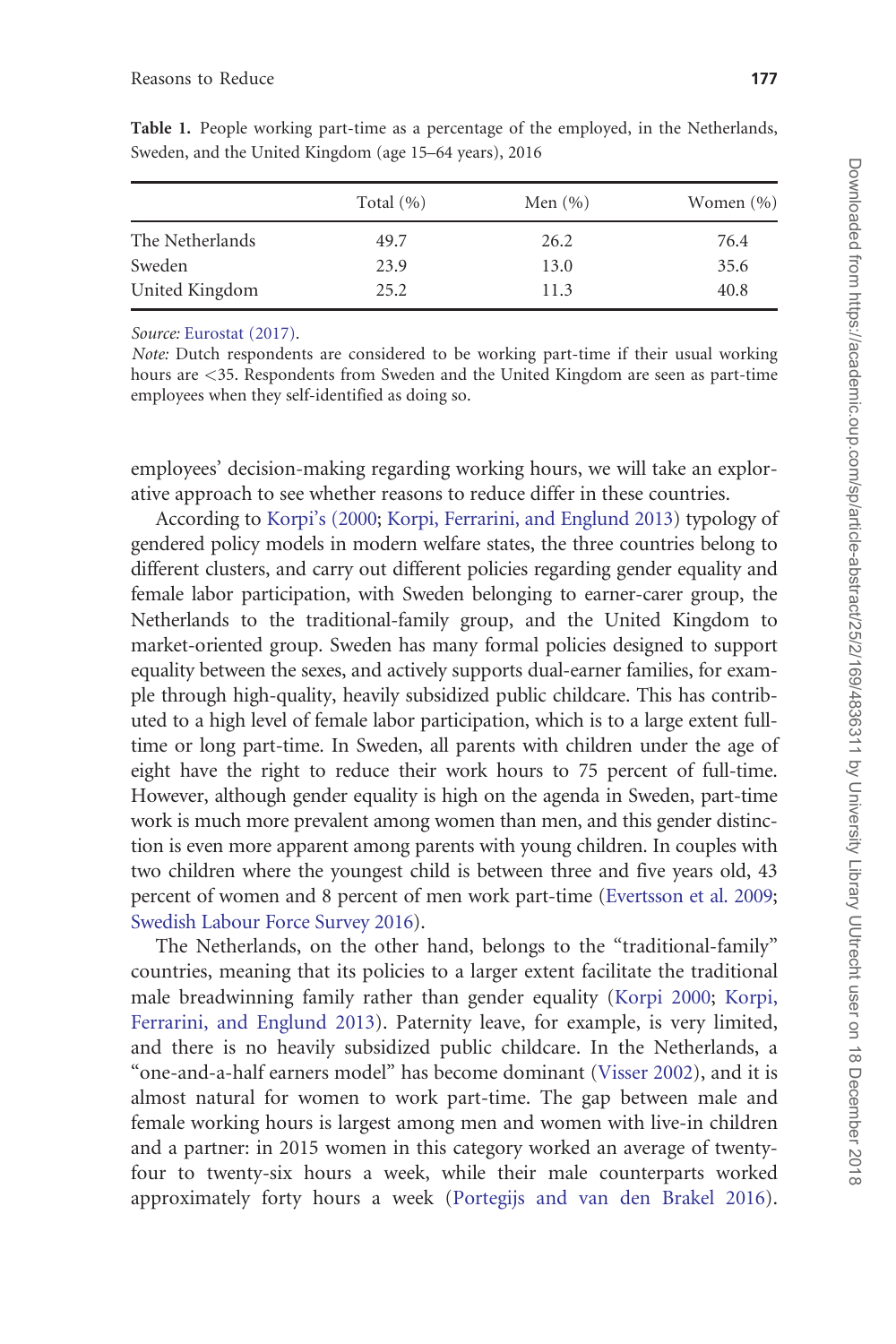| Total $(\% )$ | Men $(\% )$ | Women $(\% )$ |
|---------------|-------------|---------------|
| 49.7          | 26.2        | 76.4          |
| 23.9          | 13.0        | 35.6          |
| 25.2          | 11.3        | 40.8          |
|               |             |               |

<span id="page-8-0"></span>Table 1. People working part-time as a percentage of the employed, in the Netherlands, Sweden, and the United Kingdom (age 15–64 years), 2016

Source: [Eurostat \(2017\)](#page-28-0).

Note: Dutch respondents are considered to be working part-time if their usual working hours are <35. Respondents from Sweden and the United Kingdom are seen as part-time employees when they self-identified as doing so.

employees' decision-making regarding working hours, we will take an explorative approach to see whether reasons to reduce differ in these countries.

According to [Korpi's \(2000;](#page-29-0) [Korpi, Ferrarini, and Englund 2013\)](#page-29-0) typology of gendered policy models in modern welfare states, the three countries belong to different clusters, and carry out different policies regarding gender equality and female labor participation, with Sweden belonging to earner-carer group, the Netherlands to the traditional-family group, and the United Kingdom to market-oriented group. Sweden has many formal policies designed to support equality between the sexes, and actively supports dual-earner families, for example through high-quality, heavily subsidized public childcare. This has contributed to a high level of female labor participation, which is to a large extent fulltime or long part-time. In Sweden, all parents with children under the age of eight have the right to reduce their work hours to 75 percent of full-time. However, although gender equality is high on the agenda in Sweden, part-time work is much more prevalent among women than men, and this gender distinction is even more apparent among parents with young children. In couples with two children where the youngest child is between three and five years old, 43 percent of women and 8 percent of men work part-time [\(Evertsson et al. 2009;](#page-28-0) [Swedish Labour Force Survey 2016](#page-30-0)).

The Netherlands, on the other hand, belongs to the "traditional-family" countries, meaning that its policies to a larger extent facilitate the traditional male breadwinning family rather than gender equality [\(Korpi 2000;](#page-29-0) [Korpi,](#page-29-0) [Ferrarini, and Englund 2013\)](#page-29-0). Paternity leave, for example, is very limited, and there is no heavily subsidized public childcare. In the Netherlands, a "one-and-a-half earners model" has become dominant [\(Visser 2002\)](#page-31-0), and it is almost natural for women to work part-time. The gap between male and female working hours is largest among men and women with live-in children and a partner: in 2015 women in this category worked an average of twentyfour to twenty-six hours a week, while their male counterparts worked approximately forty hours a week [\(Portegijs and van den Brakel 2016\)](#page-30-0).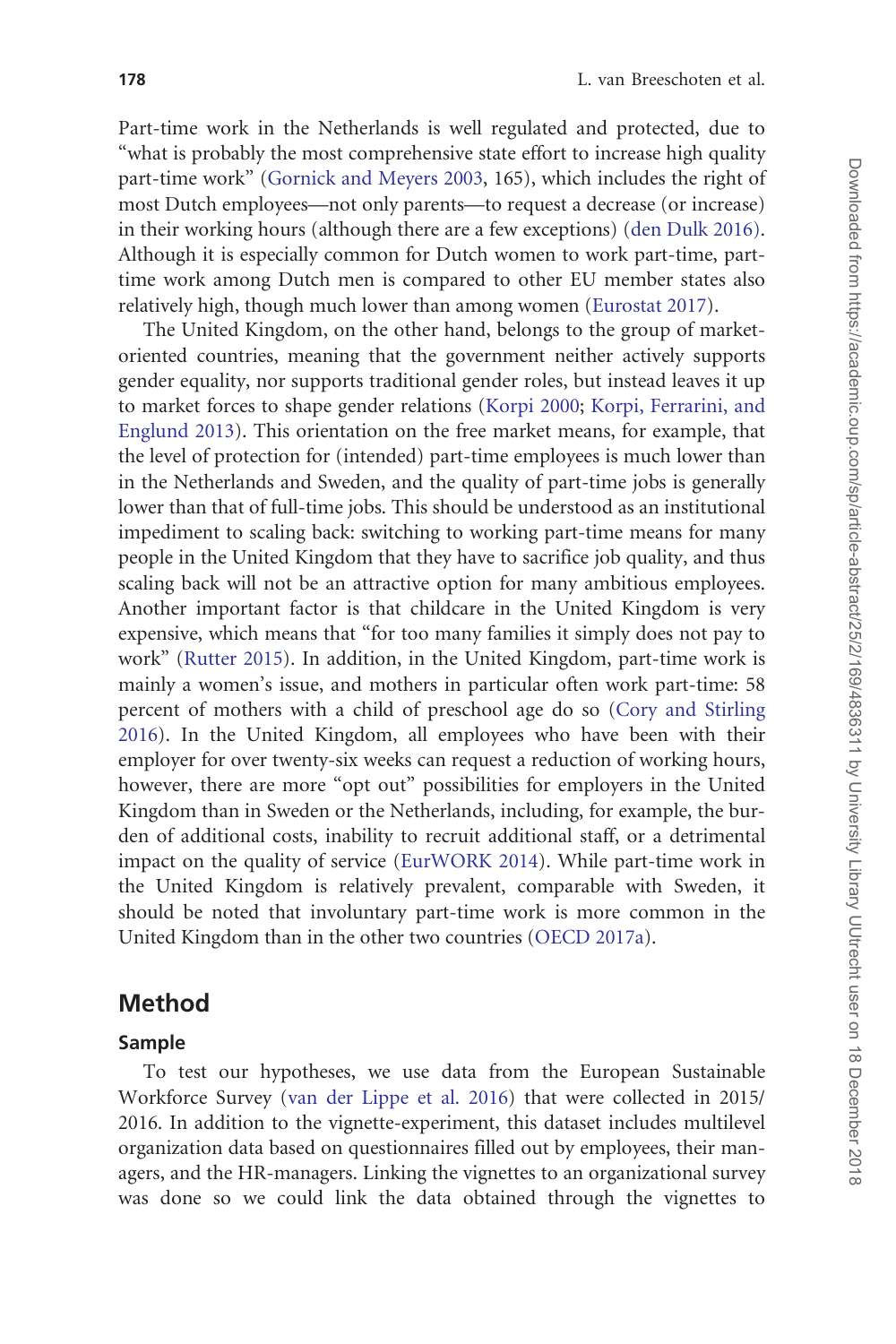Part-time work in the Netherlands is well regulated and protected, due to "what is probably the most comprehensive state effort to increase high quality part-time work" [\(Gornick and Meyers 2003,](#page-28-0) 165), which includes the right of most Dutch employees—not only parents—to request a decrease (or increase) in their working hours (although there are a few exceptions) [\(den Dulk 2016\).](#page-27-0) Although it is especially common for Dutch women to work part-time, parttime work among Dutch men is compared to other EU member states also relatively high, though much lower than among women [\(Eurostat 2017\)](#page-28-0).

The United Kingdom, on the other hand, belongs to the group of marketoriented countries, meaning that the government neither actively supports gender equality, nor supports traditional gender roles, but instead leaves it up to market forces to shape gender relations [\(Korpi 2000](#page-29-0); [Korpi, Ferrarini, and](#page-29-0) [Englund 2013\)](#page-29-0). This orientation on the free market means, for example, that the level of protection for (intended) part-time employees is much lower than in the Netherlands and Sweden, and the quality of part-time jobs is generally lower than that of full-time jobs. This should be understood as an institutional impediment to scaling back: switching to working part-time means for many people in the United Kingdom that they have to sacrifice job quality, and thus scaling back will not be an attractive option for many ambitious employees. Another important factor is that childcare in the United Kingdom is very expensive, which means that "for too many families it simply does not pay to work" ([Rutter 2015](#page-30-0)). In addition, in the United Kingdom, part-time work is mainly a women's issue, and mothers in particular often work part-time: 58 percent of mothers with a child of preschool age do so [\(Cory and Stirling](#page-27-0) [2016\)](#page-27-0). In the United Kingdom, all employees who have been with their employer for over twenty-six weeks can request a reduction of working hours, however, there are more "opt out" possibilities for employers in the United Kingdom than in Sweden or the Netherlands, including, for example, the burden of additional costs, inability to recruit additional staff, or a detrimental impact on the quality of service [\(EurWORK 2014](#page-28-0)). While part-time work in the United Kingdom is relatively prevalent, comparable with Sweden, it should be noted that involuntary part-time work is more common in the United Kingdom than in the other two countries ([OECD 2017a](#page-30-0)).

#### Method

#### Sample

To test our hypotheses, we use data from the European Sustainable Workforce Survey ([van der Lippe et al. 2016\)](#page-30-0) that were collected in 2015/ 2016. In addition to the vignette-experiment, this dataset includes multilevel organization data based on questionnaires filled out by employees, their managers, and the HR-managers. Linking the vignettes to an organizational survey was done so we could link the data obtained through the vignettes to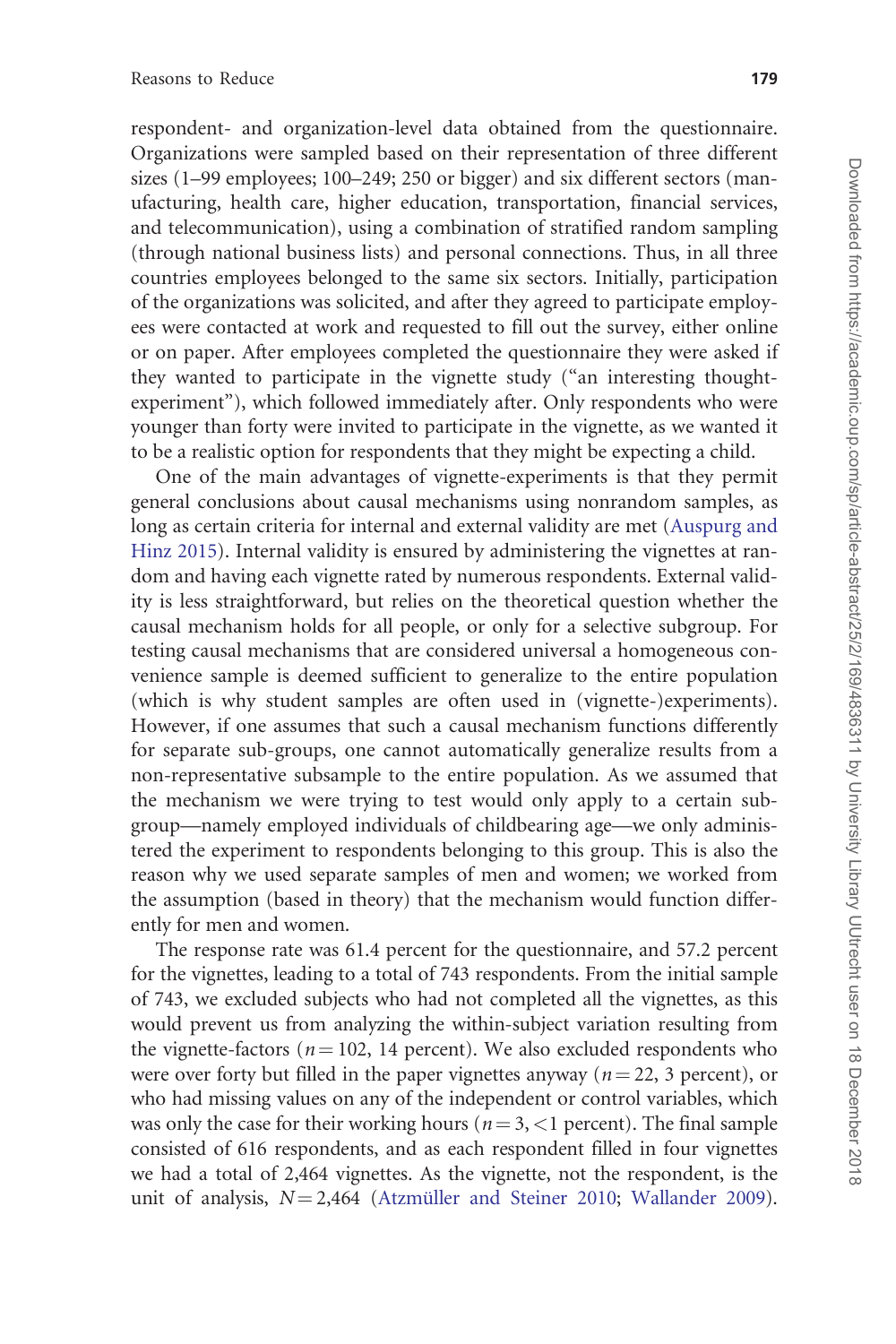respondent- and organization-level data obtained from the questionnaire. Organizations were sampled based on their representation of three different sizes (1–99 employees; 100–249; 250 or bigger) and six different sectors (manufacturing, health care, higher education, transportation, financial services, and telecommunication), using a combination of stratified random sampling (through national business lists) and personal connections. Thus, in all three countries employees belonged to the same six sectors. Initially, participation of the organizations was solicited, and after they agreed to participate employees were contacted at work and requested to fill out the survey, either online or on paper. After employees completed the questionnaire they were asked if they wanted to participate in the vignette study ("an interesting thoughtexperiment"), which followed immediately after. Only respondents who were younger than forty were invited to participate in the vignette, as we wanted it to be a realistic option for respondents that they might be expecting a child.

One of the main advantages of vignette-experiments is that they permit general conclusions about causal mechanisms using nonrandom samples, as long as certain criteria for internal and external validity are met [\(Auspurg and](#page-26-0) [Hinz 2015\)](#page-26-0). Internal validity is ensured by administering the vignettes at random and having each vignette rated by numerous respondents. External validity is less straightforward, but relies on the theoretical question whether the causal mechanism holds for all people, or only for a selective subgroup. For testing causal mechanisms that are considered universal a homogeneous convenience sample is deemed sufficient to generalize to the entire population (which is why student samples are often used in (vignette-)experiments). However, if one assumes that such a causal mechanism functions differently for separate sub-groups, one cannot automatically generalize results from a non-representative subsample to the entire population. As we assumed that the mechanism we were trying to test would only apply to a certain subgroup—namely employed individuals of childbearing age—we only administered the experiment to respondents belonging to this group. This is also the reason why we used separate samples of men and women; we worked from the assumption (based in theory) that the mechanism would function differently for men and women.

The response rate was 61.4 percent for the questionnaire, and 57.2 percent for the vignettes, leading to a total of 743 respondents. From the initial sample of 743, we excluded subjects who had not completed all the vignettes, as this would prevent us from analyzing the within-subject variation resulting from the vignette-factors ( $n = 102$ , 14 percent). We also excluded respondents who were over forty but filled in the paper vignettes anyway ( $n = 22$ , 3 percent), or who had missing values on any of the independent or control variables, which was only the case for their working hours ( $n = 3, < 1$  percent). The final sample consisted of 616 respondents, and as each respondent filled in four vignettes we had a total of 2,464 vignettes. As the vignette, not the respondent, is the unit of analysis,  $N = 2,464$  (Atzmüller and Steiner 2010; [Wallander 2009\)](#page-31-0).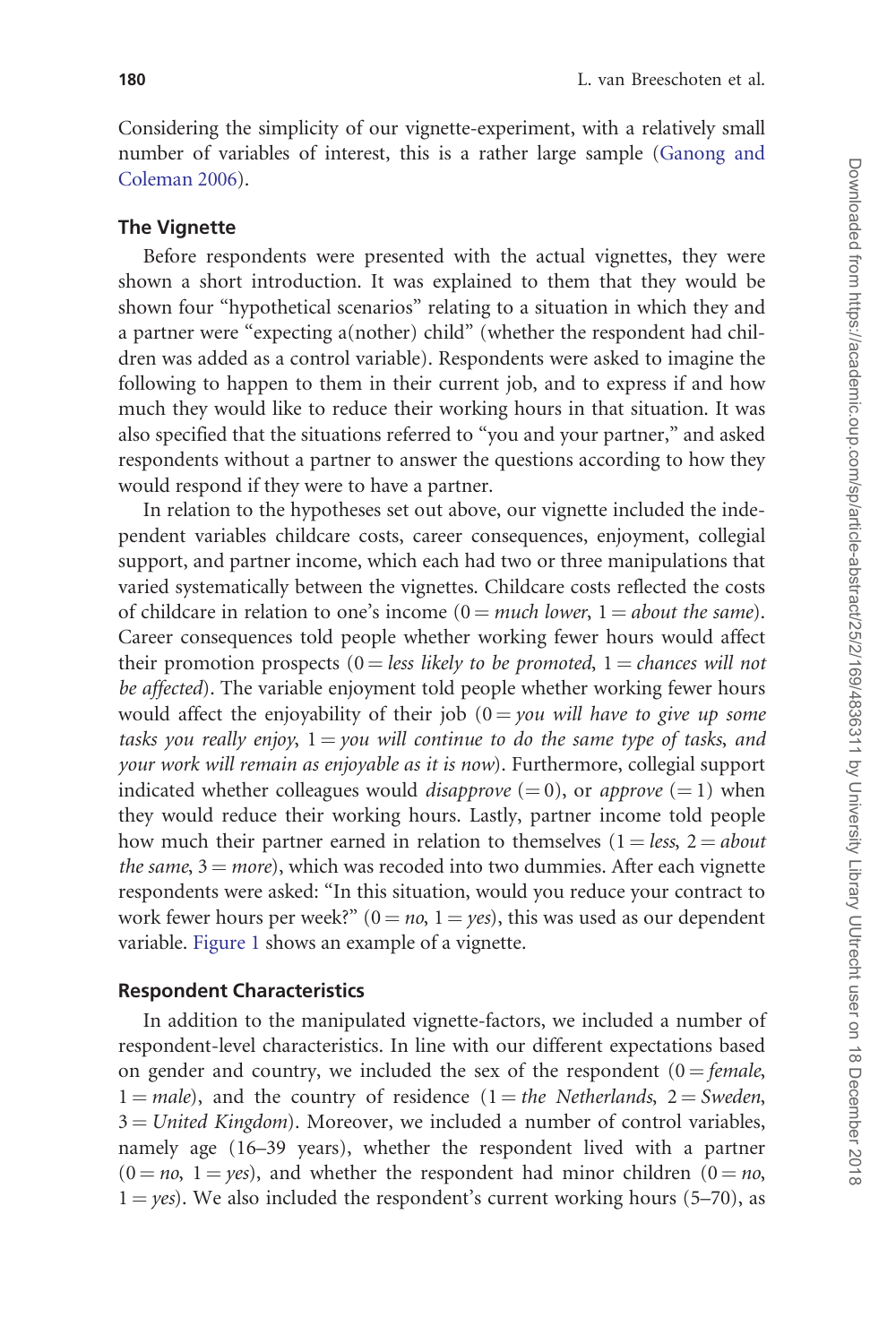Considering the simplicity of our vignette-experiment, with a relatively small number of variables of interest, this is a rather large sample [\(Ganong and](#page-28-0) [Coleman 2006](#page-28-0)).

#### The Vignette

Before respondents were presented with the actual vignettes, they were shown a short introduction. It was explained to them that they would be shown four "hypothetical scenarios" relating to a situation in which they and a partner were "expecting a(nother) child" (whether the respondent had children was added as a control variable). Respondents were asked to imagine the following to happen to them in their current job, and to express if and how much they would like to reduce their working hours in that situation. It was also specified that the situations referred to "you and your partner," and asked respondents without a partner to answer the questions according to how they would respond if they were to have a partner.

In relation to the hypotheses set out above, our vignette included the independent variables childcare costs, career consequences, enjoyment, collegial support, and partner income, which each had two or three manipulations that varied systematically between the vignettes. Childcare costs reflected the costs of childcare in relation to one's income ( $0 = much$  lower,  $1 = about$  the same). Career consequences told people whether working fewer hours would affect their promotion prospects (0 = less likely to be promoted, 1 = chances will not be affected). The variable enjoyment told people whether working fewer hours would affect the enjoyability of their job  $(0 = you will have to give up some$ tasks you really enjoy,  $1 =$  you will continue to do the same type of tasks, and your work will remain as enjoyable as it is now). Furthermore, collegial support indicated whether colleagues would *disapprove*  $(= 0)$ , or *approve*  $(= 1)$  when they would reduce their working hours. Lastly, partner income told people how much their partner earned in relation to themselves  $(1 = less, 2 = about$ the same,  $3 = more$ ), which was recoded into two dummies. After each vignette respondents were asked: "In this situation, would you reduce your contract to work fewer hours per week?" ( $0 = no$ ,  $1 = yes$ ), this was used as our dependent variable. [Figure 1](#page-12-0) shows an example of a vignette.

#### Respondent Characteristics

In addition to the manipulated vignette-factors, we included a number of respondent-level characteristics. In line with our different expectations based on gender and country, we included the sex of the respondent  $(0 = female,$  $1 = male$ ), and the country of residence ( $1 = the Netherlands$ ,  $2 = Sweden$ ,  $3 = United Kingdom$ ). Moreover, we included a number of control variables, namely age (16–39 years), whether the respondent lived with a partner  $(0 = n_0, 1 = yes)$ , and whether the respondent had minor children  $(0 = n_0, 1)$  $1 = yes$ ). We also included the respondent's current working hours (5–70), as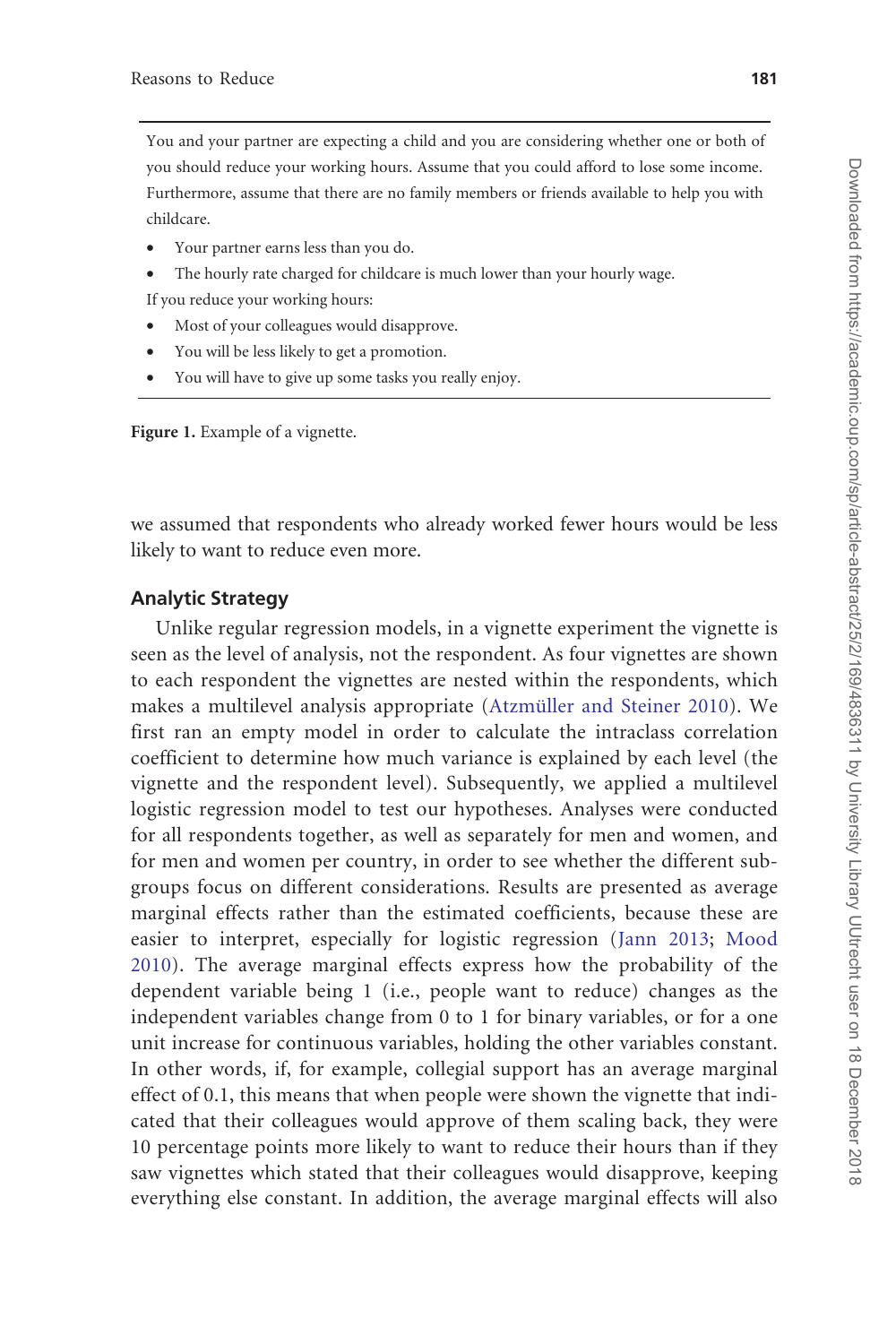<span id="page-12-0"></span>You and your partner are expecting a child and you are considering whether one or both of you should reduce your working hours. Assume that you could afford to lose some income. Furthermore, assume that there are no family members or friends available to help you with childcare.

- Your partner earns less than you do.
- The hourly rate charged for childcare is much lower than your hourly wage.

If you reduce your working hours:

- Most of your colleagues would disapprove.
- You will be less likely to get a promotion.
- You will have to give up some tasks you really enjoy.

Figure 1. Example of a vignette.

we assumed that respondents who already worked fewer hours would be less likely to want to reduce even more.

#### Analytic Strategy

Unlike regular regression models, in a vignette experiment the vignette is seen as the level of analysis, not the respondent. As four vignettes are shown to each respondent the vignettes are nested within the respondents, which makes a multilevel analysis appropriate (Atzmüller and Steiner 2010). We first ran an empty model in order to calculate the intraclass correlation coefficient to determine how much variance is explained by each level (the vignette and the respondent level). Subsequently, we applied a multilevel logistic regression model to test our hypotheses. Analyses were conducted for all respondents together, as well as separately for men and women, and for men and women per country, in order to see whether the different subgroups focus on different considerations. Results are presented as average marginal effects rather than the estimated coefficients, because these are easier to interpret, especially for logistic regression ([Jann 2013;](#page-28-0) [Mood](#page-29-0) [2010\)](#page-29-0). The average marginal effects express how the probability of the dependent variable being 1 (i.e., people want to reduce) changes as the independent variables change from 0 to 1 for binary variables, or for a one unit increase for continuous variables, holding the other variables constant. In other words, if, for example, collegial support has an average marginal effect of 0.1, this means that when people were shown the vignette that indicated that their colleagues would approve of them scaling back, they were 10 percentage points more likely to want to reduce their hours than if they saw vignettes which stated that their colleagues would disapprove, keeping everything else constant. In addition, the average marginal effects will also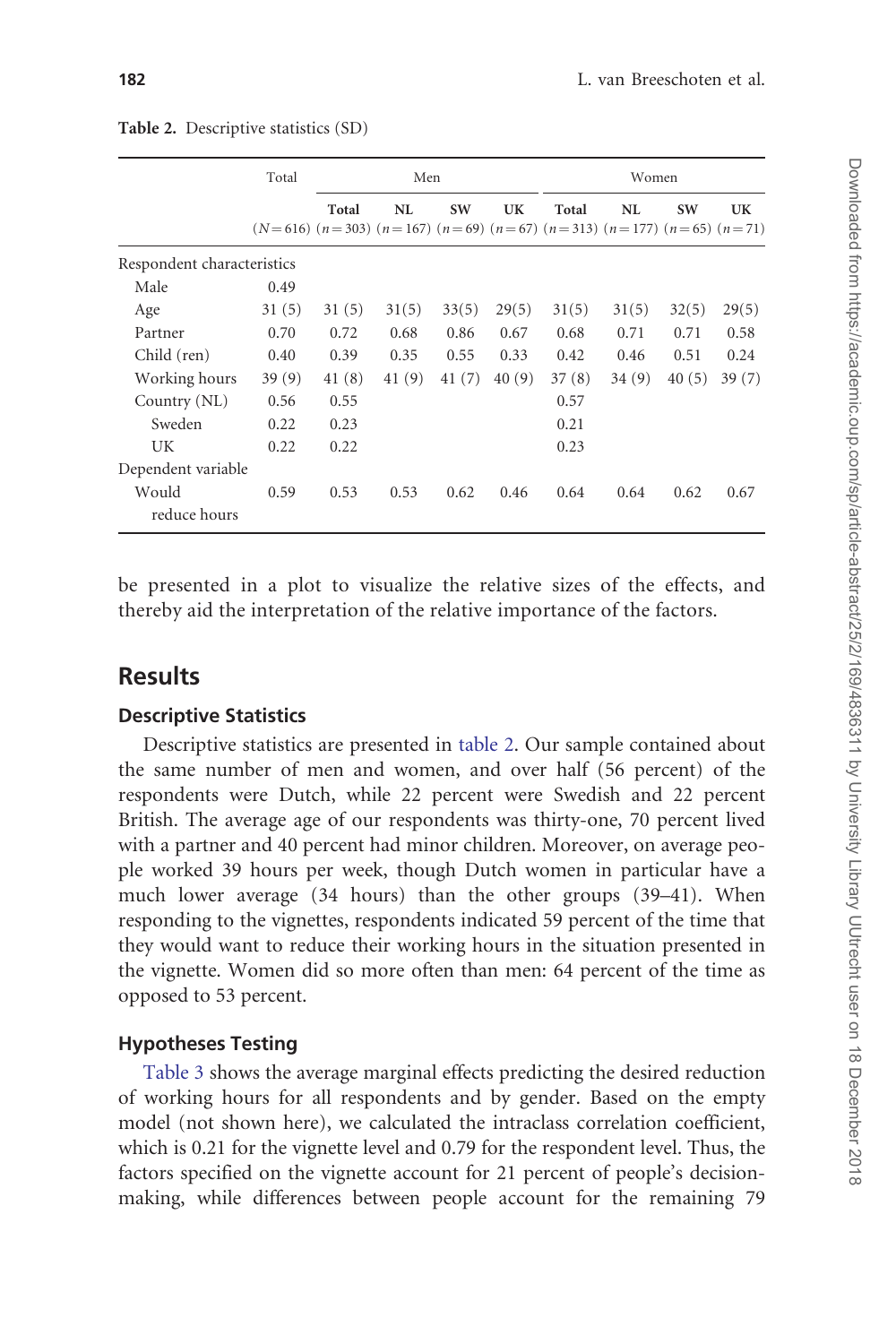|                            | Total                                                                                 | Men    |        |        | Women |       |       |       |       |
|----------------------------|---------------------------------------------------------------------------------------|--------|--------|--------|-------|-------|-------|-------|-------|
|                            | $(N=616)$ $(n=303)$ $(n=167)$ $(n=69)$ $(n=67)$ $(n=313)$ $(n=177)$ $(n=65)$ $(n=71)$ | Total  | NL     | SW     | UK    | Total | NL    | SW    | UK    |
| Respondent characteristics |                                                                                       |        |        |        |       |       |       |       |       |
| Male                       | 0.49                                                                                  |        |        |        |       |       |       |       |       |
| Age                        | 31(5)                                                                                 | 31(5)  | 31(5)  | 33(5)  | 29(5) | 31(5) | 31(5) | 32(5) | 29(5) |
| Partner                    | 0.70                                                                                  | 0.72   | 0.68   | 0.86   | 0.67  | 0.68  | 0.71  | 0.71  | 0.58  |
| Child (ren)                | 0.40                                                                                  | 0.39   | 0.35   | 0.55   | 0.33  | 0.42  | 0.46  | 0.51  | 0.24  |
| Working hours              | 39(9)                                                                                 | 41 (8) | 41 (9) | 41 (7) | 40(9) | 37(8) | 34(9) | 40(5) | 39(7) |
| Country (NL)               | 0.56                                                                                  | 0.55   |        |        |       | 0.57  |       |       |       |
| Sweden                     | 0.22                                                                                  | 0.23   |        |        |       | 0.21  |       |       |       |
| UK                         | 0.22                                                                                  | 0.22   |        |        |       | 0.23  |       |       |       |
| Dependent variable         |                                                                                       |        |        |        |       |       |       |       |       |
| Would                      | 0.59                                                                                  | 0.53   | 0.53   | 0.62   | 0.46  | 0.64  | 0.64  | 0.62  | 0.67  |
| reduce hours               |                                                                                       |        |        |        |       |       |       |       |       |

<span id="page-13-0"></span>Table 2. Descriptive statistics (SD)

be presented in a plot to visualize the relative sizes of the effects, and thereby aid the interpretation of the relative importance of the factors.

#### Results

#### Descriptive Statistics

Descriptive statistics are presented in table 2. Our sample contained about the same number of men and women, and over half (56 percent) of the respondents were Dutch, while 22 percent were Swedish and 22 percent British. The average age of our respondents was thirty-one, 70 percent lived with a partner and 40 percent had minor children. Moreover, on average people worked 39 hours per week, though Dutch women in particular have a much lower average (34 hours) than the other groups (39–41). When responding to the vignettes, respondents indicated 59 percent of the time that they would want to reduce their working hours in the situation presented in the vignette. Women did so more often than men: 64 percent of the time as opposed to 53 percent.

#### Hypotheses Testing

[Table 3](#page-14-0) shows the average marginal effects predicting the desired reduction of working hours for all respondents and by gender. Based on the empty model (not shown here), we calculated the intraclass correlation coefficient, which is 0.21 for the vignette level and 0.79 for the respondent level. Thus, the factors specified on the vignette account for 21 percent of people's decisionmaking, while differences between people account for the remaining 79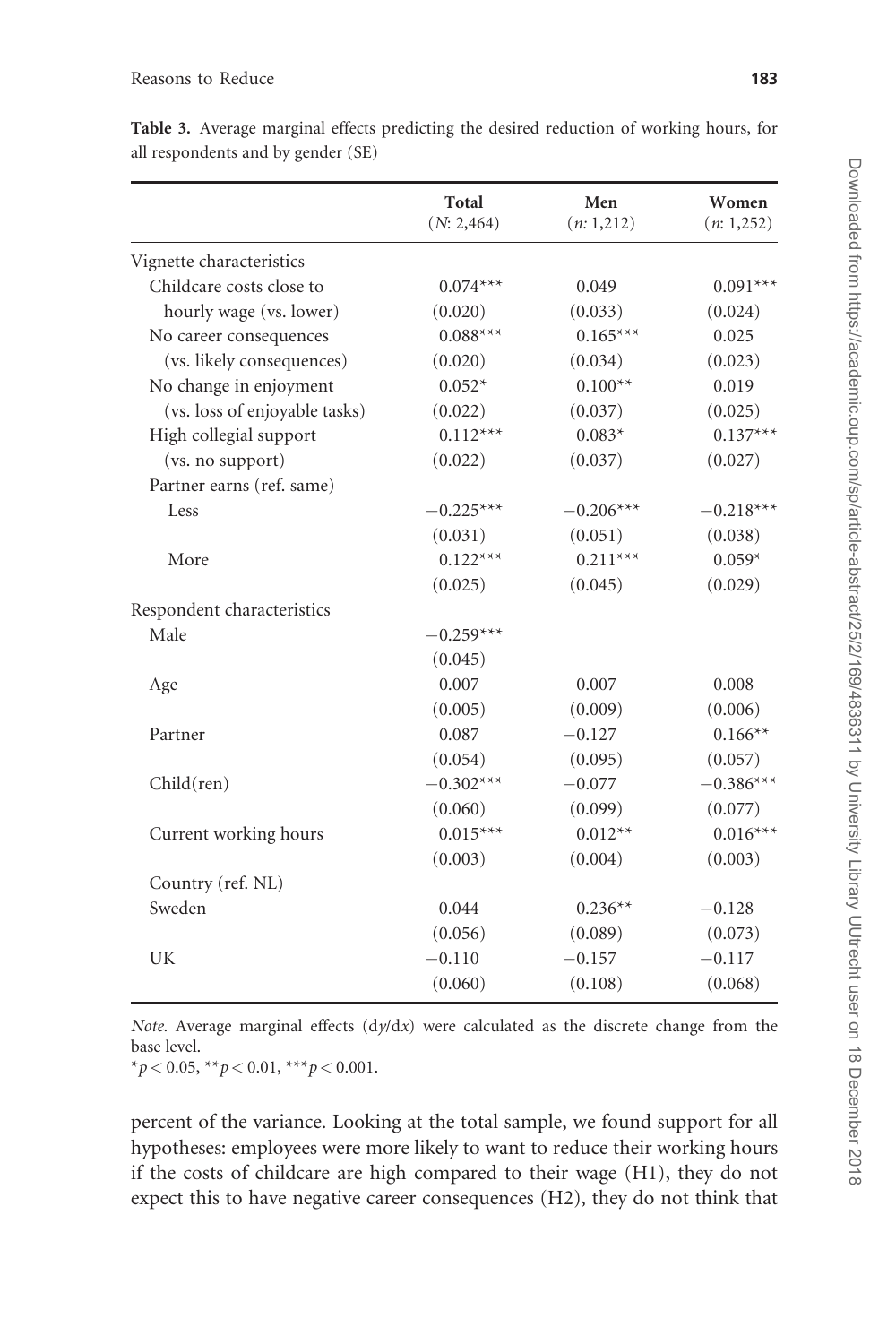|                               | Total<br>(N: 2,464) | Men<br>(n: 1, 212) | Women<br>(n: 1,252) |
|-------------------------------|---------------------|--------------------|---------------------|
| Vignette characteristics      |                     |                    |                     |
| Childcare costs close to      | $0.074***$          | 0.049              | $0.091***$          |
| hourly wage (vs. lower)       | (0.020)             | (0.033)            | (0.024)             |
| No career consequences        | $0.088***$          | $0.165***$         | 0.025               |
| (vs. likely consequences)     | (0.020)             | (0.034)            | (0.023)             |
| No change in enjoyment        | $0.052*$            | $0.100**$          | 0.019               |
| (vs. loss of enjoyable tasks) | (0.022)             | (0.037)            | (0.025)             |
| High collegial support        | $0.112***$          | $0.083*$           | $0.137***$          |
| (vs. no support)              | (0.022)             | (0.037)            | (0.027)             |
| Partner earns (ref. same)     |                     |                    |                     |
| Less                          | $-0.225***$         | $-0.206***$        | $-0.218***$         |
|                               | (0.031)             | (0.051)            | (0.038)             |
| More                          | $0.122***$          | $0.211***$         | $0.059*$            |
|                               | (0.025)             | (0.045)            | (0.029)             |
| Respondent characteristics    |                     |                    |                     |
| Male                          | $-0.259***$         |                    |                     |
|                               | (0.045)             |                    |                     |
| Age                           | 0.007               | 0.007              | 0.008               |
|                               | (0.005)             | (0.009)            | (0.006)             |
| Partner                       | 0.087               | $-0.127$           | $0.166**$           |
|                               | (0.054)             | (0.095)            | (0.057)             |
| Child(ren)                    | $-0.302***$         | $-0.077$           | $-0.386***$         |
|                               | (0.060)             | (0.099)            | (0.077)             |
| Current working hours         | $0.015***$          | $0.012**$          | $0.016***$          |
|                               | (0.003)             | (0.004)            | (0.003)             |
| Country (ref. NL)             |                     |                    |                     |
| Sweden                        | 0.044               | $0.236**$          | $-0.128$            |
|                               | (0.056)             | (0.089)            | (0.073)             |
| UK                            | $-0.110$            | $-0.157$           | $-0.117$            |
|                               | (0.060)             | (0.108)            | (0.068)             |

<span id="page-14-0"></span>Table 3. Average marginal effects predicting the desired reduction of working hours, for all respondents and by gender (SE)

Note. Average marginal effects  $(dy/dx)$  were calculated as the discrete change from the base level.

 $*_{p}$  < 0.05,  $*_{p}$  < 0.01,  $*_{p}$  < 0.001.

percent of the variance. Looking at the total sample, we found support for all hypotheses: employees were more likely to want to reduce their working hours if the costs of childcare are high compared to their wage (H1), they do not expect this to have negative career consequences (H2), they do not think that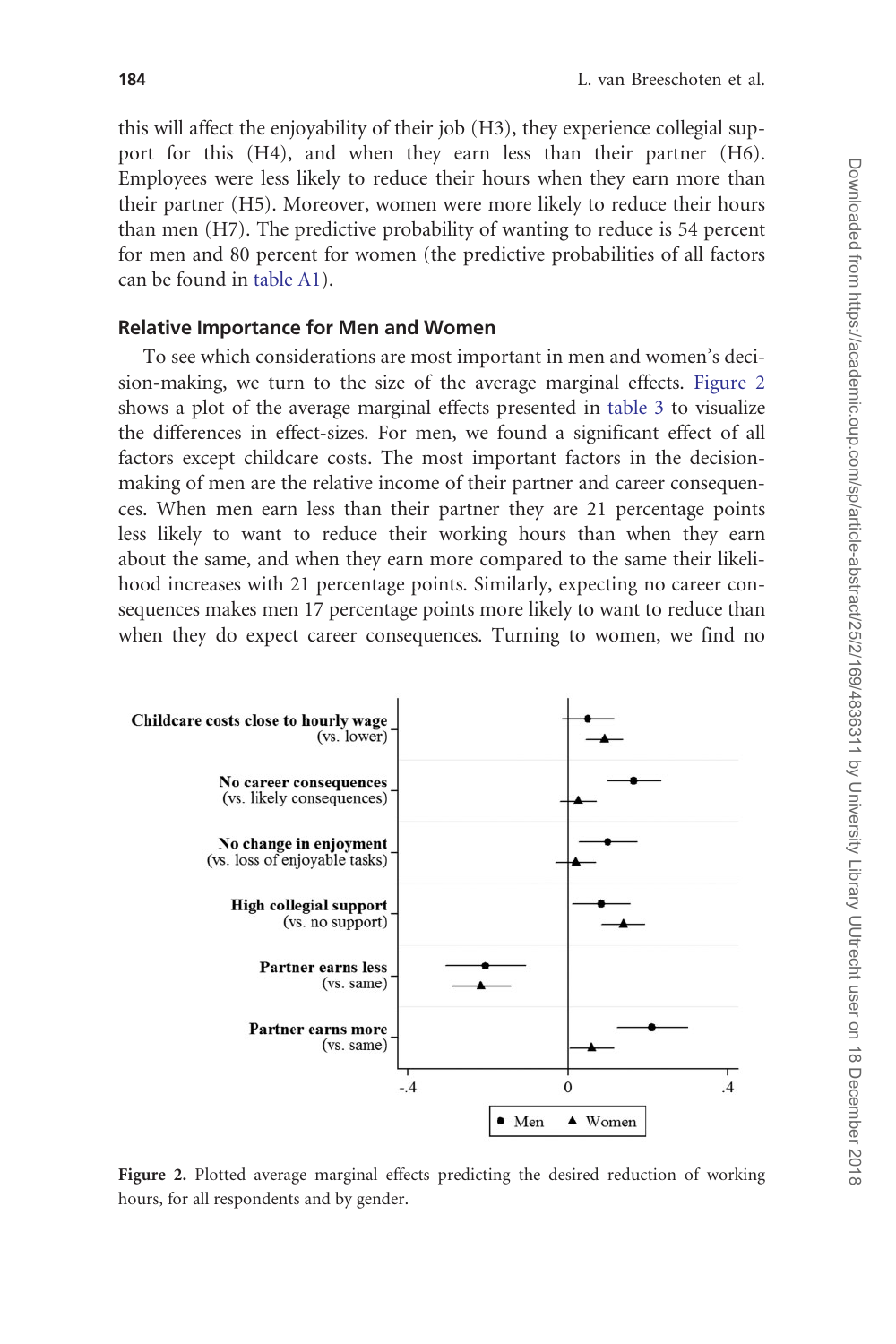this will affect the enjoyability of their job (H3), they experience collegial support for this (H4), and when they earn less than their partner (H6). Employees were less likely to reduce their hours when they earn more than their partner (H5). Moreover, women were more likely to reduce their hours than men (H7). The predictive probability of wanting to reduce is 54 percent for men and 80 percent for women (the predictive probabilities of all factors can be found in [table A1\)](#page-8-0).

#### Relative Importance for Men and Women

To see which considerations are most important in men and women's decision-making, we turn to the size of the average marginal effects. Figure 2 shows a plot of the average marginal effects presented in [table 3](#page-14-0) to visualize the differences in effect-sizes. For men, we found a significant effect of all factors except childcare costs. The most important factors in the decisionmaking of men are the relative income of their partner and career consequences. When men earn less than their partner they are 21 percentage points less likely to want to reduce their working hours than when they earn about the same, and when they earn more compared to the same their likelihood increases with 21 percentage points. Similarly, expecting no career consequences makes men 17 percentage points more likely to want to reduce than when they do expect career consequences. Turning to women, we find no



Figure 2. Plotted average marginal effects predicting the desired reduction of working hours, for all respondents and by gender.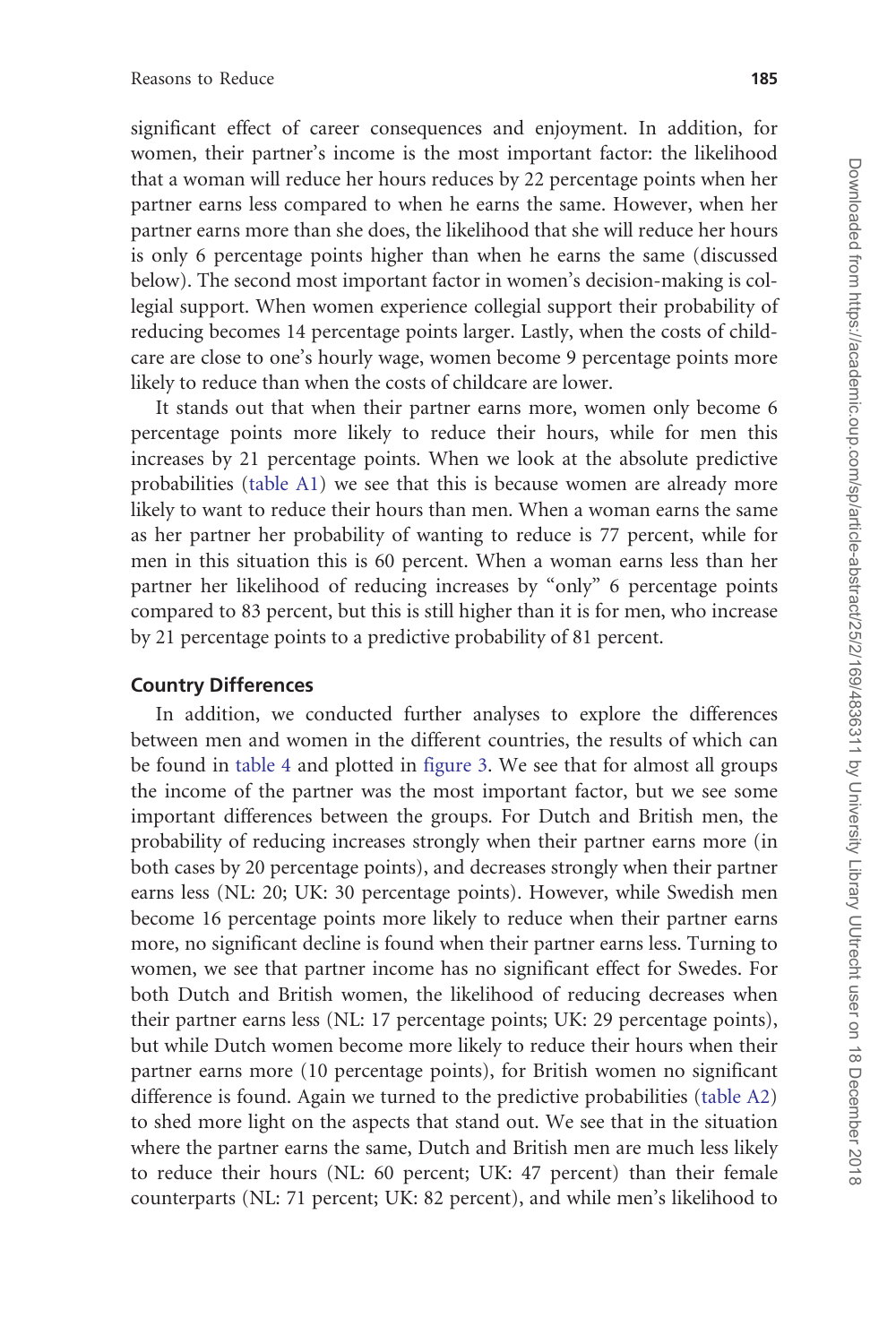significant effect of career consequences and enjoyment. In addition, for women, their partner's income is the most important factor: the likelihood that a woman will reduce her hours reduces by 22 percentage points when her partner earns less compared to when he earns the same. However, when her partner earns more than she does, the likelihood that she will reduce her hours is only 6 percentage points higher than when he earns the same (discussed below). The second most important factor in women's decision-making is collegial support. When women experience collegial support their probability of reducing becomes 14 percentage points larger. Lastly, when the costs of childcare are close to one's hourly wage, women become 9 percentage points more likely to reduce than when the costs of childcare are lower.

It stands out that when their partner earns more, women only become 6 percentage points more likely to reduce their hours, while for men this increases by 21 percentage points. When we look at the absolute predictive probabilities [\(table A1\)](#page-8-0) we see that this is because women are already more likely to want to reduce their hours than men. When a woman earns the same as her partner her probability of wanting to reduce is 77 percent, while for men in this situation this is 60 percent. When a woman earns less than her partner her likelihood of reducing increases by "only" 6 percentage points compared to 83 percent, but this is still higher than it is for men, who increase by 21 percentage points to a predictive probability of 81 percent.

#### Country Differences

In addition, we conducted further analyses to explore the differences between men and women in the different countries, the results of which can be found in [table 4](#page-17-0) and plotted in [figure 3](#page-18-0). We see that for almost all groups the income of the partner was the most important factor, but we see some important differences between the groups. For Dutch and British men, the probability of reducing increases strongly when their partner earns more (in both cases by 20 percentage points), and decreases strongly when their partner earns less (NL: 20; UK: 30 percentage points). However, while Swedish men become 16 percentage points more likely to reduce when their partner earns more, no significant decline is found when their partner earns less. Turning to women, we see that partner income has no significant effect for Swedes. For both Dutch and British women, the likelihood of reducing decreases when their partner earns less (NL: 17 percentage points; UK: 29 percentage points), but while Dutch women become more likely to reduce their hours when their partner earns more (10 percentage points), for British women no significant difference is found. Again we turned to the predictive probabilities [\(table A2](#page-13-0)) to shed more light on the aspects that stand out. We see that in the situation where the partner earns the same, Dutch and British men are much less likely to reduce their hours (NL: 60 percent; UK: 47 percent) than their female counterparts (NL: 71 percent; UK: 82 percent), and while men's likelihood to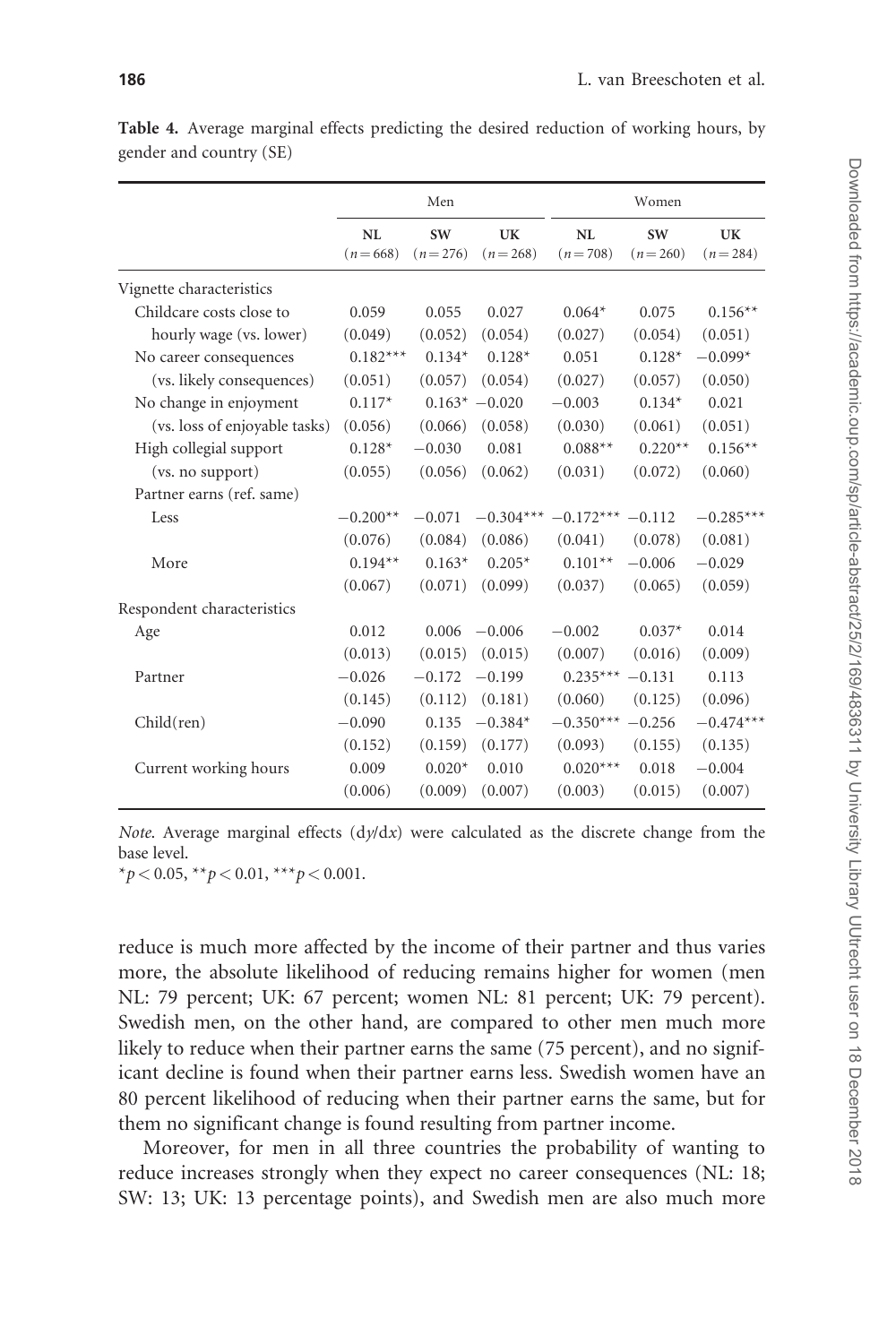|                               | Men             |                 |                 | Women              |                   |                 |
|-------------------------------|-----------------|-----------------|-----------------|--------------------|-------------------|-----------------|
|                               | NL<br>$(n=668)$ | SW<br>$(n=276)$ | UK<br>$(n=268)$ | NL<br>$(n=708)$    | SW<br>$(n = 260)$ | UK<br>$(n=284)$ |
| Vignette characteristics      |                 |                 |                 |                    |                   |                 |
| Childcare costs close to      | 0.059           | 0.055           | 0.027           | $0.064*$           | 0.075             | $0.156**$       |
| hourly wage (vs. lower)       | (0.049)         | (0.052)         | (0.054)         | (0.027)            | (0.054)           | (0.051)         |
| No career consequences        | $0.182***$      | $0.134*$        | $0.128*$        | 0.051              | $0.128*$          | $-0.099*$       |
| (vs. likely consequences)     | (0.051)         | (0.057)         | (0.054)         | (0.027)            | (0.057)           | (0.050)         |
| No change in enjoyment        | $0.117*$        |                 | $0.163* -0.020$ | $-0.003$           | $0.134*$          | 0.021           |
| (vs. loss of enjoyable tasks) | (0.056)         | (0.066)         | (0.058)         | (0.030)            | (0.061)           | (0.051)         |
| High collegial support        | $0.128*$        | $-0.030$        | 0.081           | $0.088**$          | $0.220**$         | $0.156**$       |
| (vs. no support)              | (0.055)         | (0.056)         | (0.062)         | (0.031)            | (0.072)           | (0.060)         |
| Partner earns (ref. same)     |                 |                 |                 |                    |                   |                 |
| Less                          | $-0.200**$      | $-0.071$        | $-0.304***$     | $-0.172***$        | $-0.112$          | $-0.285***$     |
|                               | (0.076)         | (0.084)         | (0.086)         | (0.041)            | (0.078)           | (0.081)         |
| More                          | $0.194**$       | $0.163*$        | $0.205*$        | $0.101**$          | $-0.006$          | $-0.029$        |
|                               | (0.067)         | (0.071)         | (0.099)         | (0.037)            | (0.065)           | (0.059)         |
| Respondent characteristics    |                 |                 |                 |                    |                   |                 |
| Age                           | 0.012           | 0.006           | $-0.006$        | $-0.002$           | $0.037*$          | 0.014           |
|                               | (0.013)         | (0.015)         | (0.015)         | (0.007)            | (0.016)           | (0.009)         |
| Partner                       | $-0.026$        | $-0.172$        | $-0.199$        | $0.235***$         | $-0.131$          | 0.113           |
|                               | (0.145)         | (0.112)         | (0.181)         | (0.060)            | (0.125)           | (0.096)         |
| Child(ren)                    | $-0.090$        | 0.135           | $-0.384*$       | $-0.350***$ -0.256 |                   | $-0.474***$     |
|                               | (0.152)         | (0.159)         | (0.177)         | (0.093)            | (0.155)           | (0.135)         |
| Current working hours         | 0.009           | $0.020*$        | 0.010           | $0.020***$         | 0.018             | $-0.004$        |
|                               | (0.006)         | (0.009)         | (0.007)         | (0.003)            | (0.015)           | (0.007)         |

<span id="page-17-0"></span>Table 4. Average marginal effects predicting the desired reduction of working hours, by gender and country (SE)

Note. Average marginal effects  $\left(\frac{dy}{dx}\right)$  were calculated as the discrete change from the base level.

 $*_{p} < 0.05$ ,  $*_{p} < 0.01$ ,  $*_{p} < 0.001$ .

reduce is much more affected by the income of their partner and thus varies more, the absolute likelihood of reducing remains higher for women (men NL: 79 percent; UK: 67 percent; women NL: 81 percent; UK: 79 percent). Swedish men, on the other hand, are compared to other men much more likely to reduce when their partner earns the same (75 percent), and no significant decline is found when their partner earns less. Swedish women have an 80 percent likelihood of reducing when their partner earns the same, but for them no significant change is found resulting from partner income.

Moreover, for men in all three countries the probability of wanting to reduce increases strongly when they expect no career consequences (NL: 18; SW: 13; UK: 13 percentage points), and Swedish men are also much more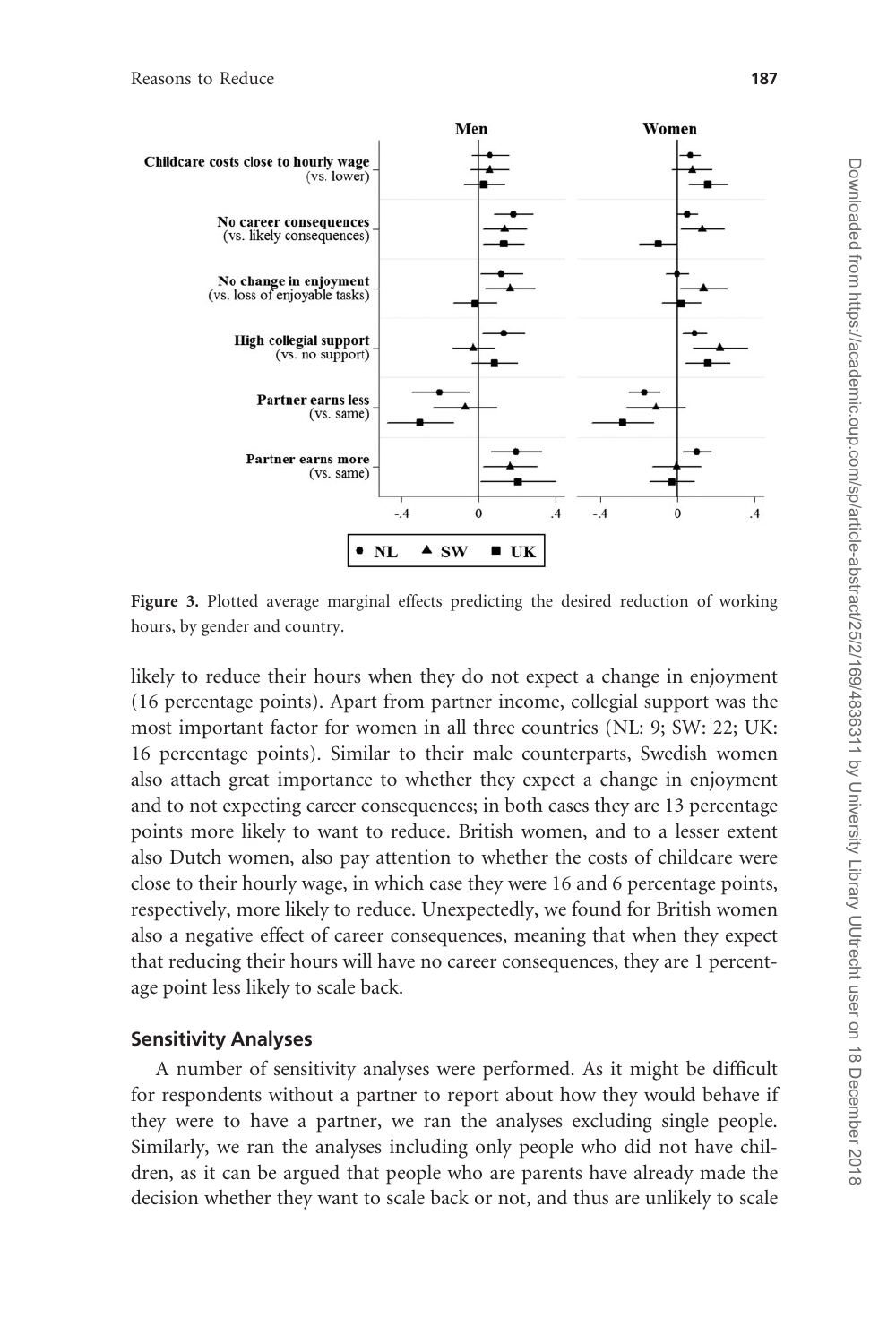<span id="page-18-0"></span>

Figure 3. Plotted average marginal effects predicting the desired reduction of working hours, by gender and country.

likely to reduce their hours when they do not expect a change in enjoyment (16 percentage points). Apart from partner income, collegial support was the most important factor for women in all three countries (NL: 9; SW: 22; UK: 16 percentage points). Similar to their male counterparts, Swedish women also attach great importance to whether they expect a change in enjoyment and to not expecting career consequences; in both cases they are 13 percentage points more likely to want to reduce. British women, and to a lesser extent also Dutch women, also pay attention to whether the costs of childcare were close to their hourly wage, in which case they were 16 and 6 percentage points, respectively, more likely to reduce. Unexpectedly, we found for British women also a negative effect of career consequences, meaning that when they expect that reducing their hours will have no career consequences, they are 1 percentage point less likely to scale back.

#### Sensitivity Analyses

A number of sensitivity analyses were performed. As it might be difficult for respondents without a partner to report about how they would behave if they were to have a partner, we ran the analyses excluding single people. Similarly, we ran the analyses including only people who did not have children, as it can be argued that people who are parents have already made the decision whether they want to scale back or not, and thus are unlikely to scale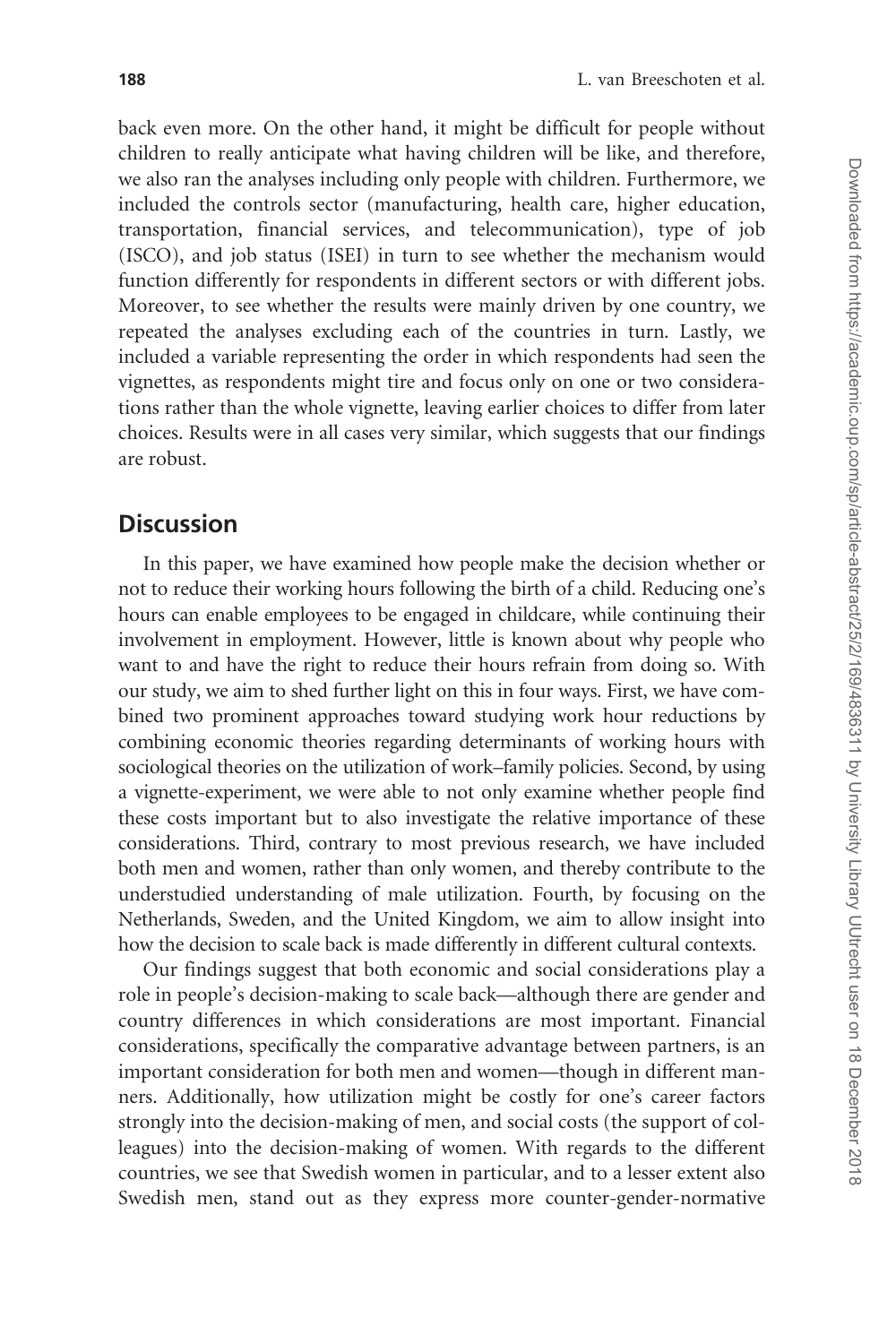back even more. On the other hand, it might be difficult for people without children to really anticipate what having children will be like, and therefore, we also ran the analyses including only people with children. Furthermore, we included the controls sector (manufacturing, health care, higher education, transportation, financial services, and telecommunication), type of job (ISCO), and job status (ISEI) in turn to see whether the mechanism would function differently for respondents in different sectors or with different jobs. Moreover, to see whether the results were mainly driven by one country, we repeated the analyses excluding each of the countries in turn. Lastly, we included a variable representing the order in which respondents had seen the vignettes, as respondents might tire and focus only on one or two considerations rather than the whole vignette, leaving earlier choices to differ from later choices. Results were in all cases very similar, which suggests that our findings are robust.

### **Discussion**

In this paper, we have examined how people make the decision whether or not to reduce their working hours following the birth of a child. Reducing one's hours can enable employees to be engaged in childcare, while continuing their involvement in employment. However, little is known about why people who want to and have the right to reduce their hours refrain from doing so. With our study, we aim to shed further light on this in four ways. First, we have combined two prominent approaches toward studying work hour reductions by combining economic theories regarding determinants of working hours with sociological theories on the utilization of work–family policies. Second, by using a vignette-experiment, we were able to not only examine whether people find these costs important but to also investigate the relative importance of these considerations. Third, contrary to most previous research, we have included both men and women, rather than only women, and thereby contribute to the understudied understanding of male utilization. Fourth, by focusing on the Netherlands, Sweden, and the United Kingdom, we aim to allow insight into how the decision to scale back is made differently in different cultural contexts.

Our findings suggest that both economic and social considerations play a role in people's decision-making to scale back—although there are gender and country differences in which considerations are most important. Financial considerations, specifically the comparative advantage between partners, is an important consideration for both men and women—though in different manners. Additionally, how utilization might be costly for one's career factors strongly into the decision-making of men, and social costs (the support of colleagues) into the decision-making of women. With regards to the different countries, we see that Swedish women in particular, and to a lesser extent also Swedish men, stand out as they express more counter-gender-normative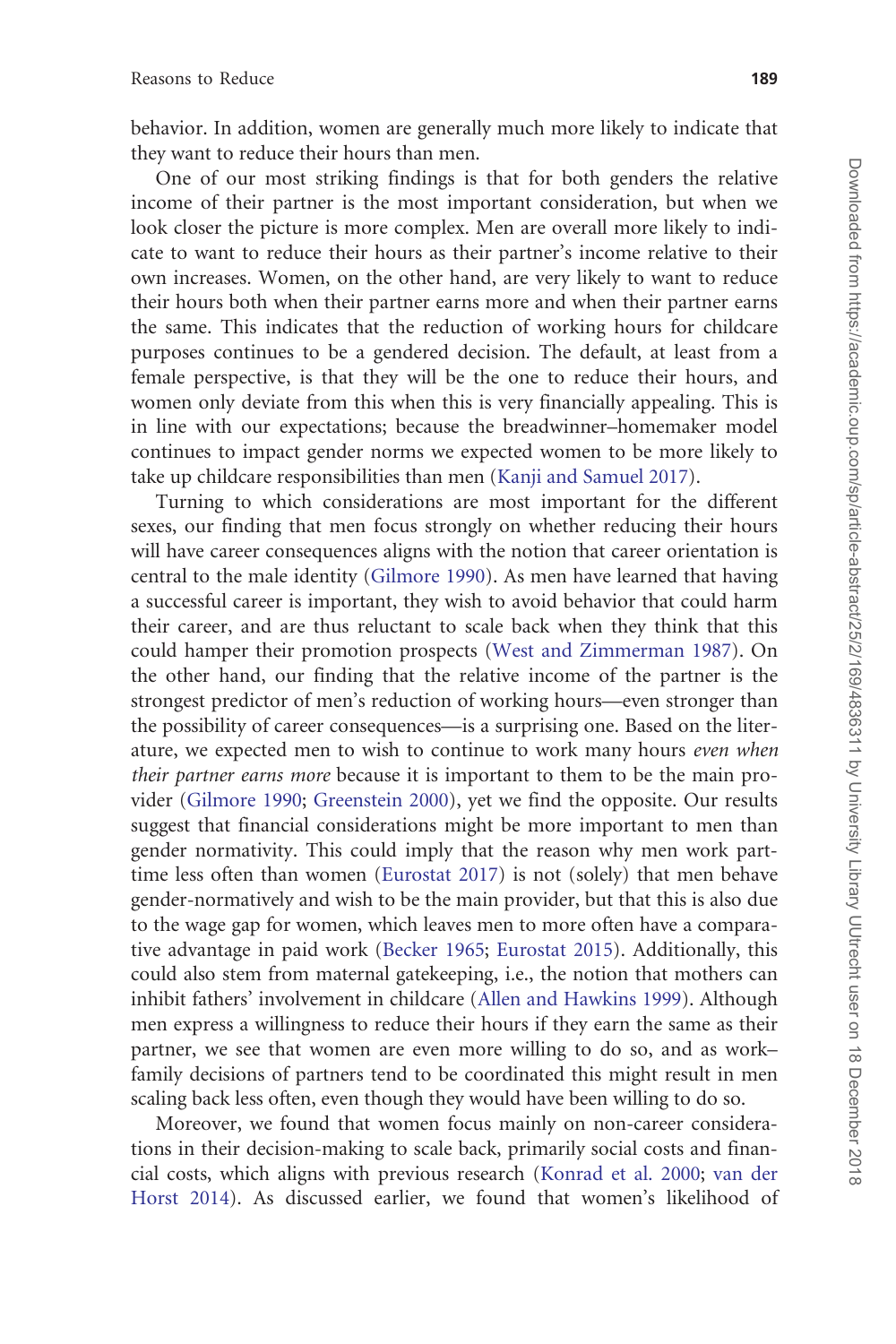behavior. In addition, women are generally much more likely to indicate that they want to reduce their hours than men.

One of our most striking findings is that for both genders the relative income of their partner is the most important consideration, but when we look closer the picture is more complex. Men are overall more likely to indicate to want to reduce their hours as their partner's income relative to their own increases. Women, on the other hand, are very likely to want to reduce their hours both when their partner earns more and when their partner earns the same. This indicates that the reduction of working hours for childcare purposes continues to be a gendered decision. The default, at least from a female perspective, is that they will be the one to reduce their hours, and women only deviate from this when this is very financially appealing. This is in line with our expectations; because the breadwinner–homemaker model continues to impact gender norms we expected women to be more likely to take up childcare responsibilities than men ([Kanji and Samuel 2017\)](#page-28-0).

Turning to which considerations are most important for the different sexes, our finding that men focus strongly on whether reducing their hours will have career consequences aligns with the notion that career orientation is central to the male identity ([Gilmore 1990\)](#page-28-0). As men have learned that having a successful career is important, they wish to avoid behavior that could harm their career, and are thus reluctant to scale back when they think that this could hamper their promotion prospects [\(West and Zimmerman 1987\)](#page-31-0). On the other hand, our finding that the relative income of the partner is the strongest predictor of men's reduction of working hours—even stronger than the possibility of career consequences—is a surprising one. Based on the literature, we expected men to wish to continue to work many hours even when their partner earns more because it is important to them to be the main provider [\(Gilmore 1990;](#page-28-0) [Greenstein 2000](#page-28-0)), yet we find the opposite. Our results suggest that financial considerations might be more important to men than gender normativity. This could imply that the reason why men work parttime less often than women [\(Eurostat 2017](#page-28-0)) is not (solely) that men behave gender-normatively and wish to be the main provider, but that this is also due to the wage gap for women, which leaves men to more often have a comparative advantage in paid work [\(Becker 1965;](#page-26-0) [Eurostat 2015](#page-27-0)). Additionally, this could also stem from maternal gatekeeping, i.e., the notion that mothers can inhibit fathers' involvement in childcare [\(Allen and Hawkins 1999\)](#page-26-0). Although men express a willingness to reduce their hours if they earn the same as their partner, we see that women are even more willing to do so, and as work– family decisions of partners tend to be coordinated this might result in men scaling back less often, even though they would have been willing to do so.

Moreover, we found that women focus mainly on non-career considerations in their decision-making to scale back, primarily social costs and financial costs, which aligns with previous research ([Konrad et al. 2000;](#page-29-0) [van der](#page-30-0) [Horst 2014](#page-30-0)). As discussed earlier, we found that women's likelihood of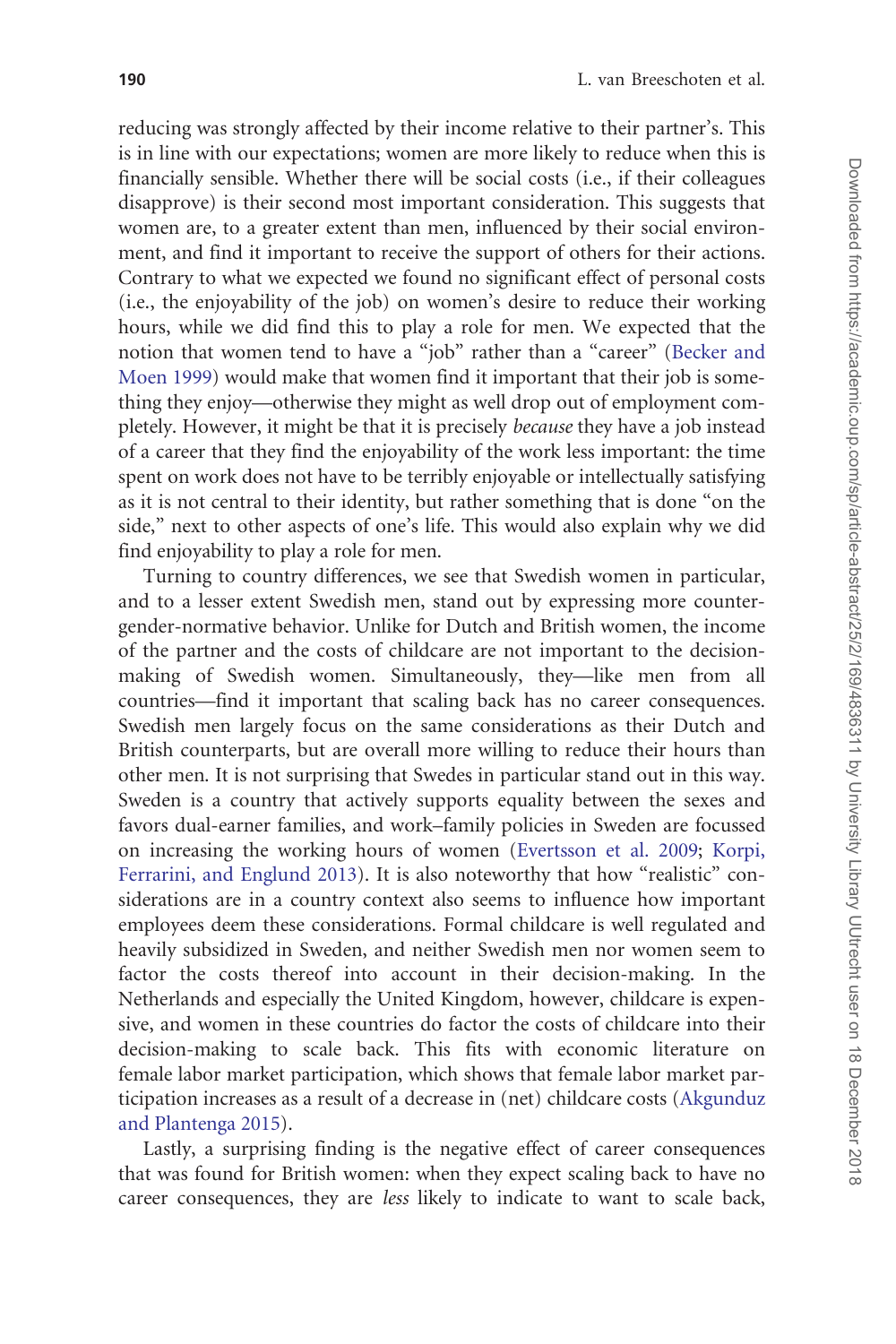reducing was strongly affected by their income relative to their partner's. This is in line with our expectations; women are more likely to reduce when this is financially sensible. Whether there will be social costs (i.e., if their colleagues disapprove) is their second most important consideration. This suggests that women are, to a greater extent than men, influenced by their social environment, and find it important to receive the support of others for their actions. Contrary to what we expected we found no significant effect of personal costs (i.e., the enjoyability of the job) on women's desire to reduce their working hours, while we did find this to play a role for men. We expected that the notion that women tend to have a "job" rather than a "career" ([Becker and](#page-26-0) [Moen 1999](#page-26-0)) would make that women find it important that their job is something they enjoy—otherwise they might as well drop out of employment completely. However, it might be that it is precisely because they have a job instead of a career that they find the enjoyability of the work less important: the time spent on work does not have to be terribly enjoyable or intellectually satisfying as it is not central to their identity, but rather something that is done "on the side," next to other aspects of one's life. This would also explain why we did find enjoyability to play a role for men.

Turning to country differences, we see that Swedish women in particular, and to a lesser extent Swedish men, stand out by expressing more countergender-normative behavior. Unlike for Dutch and British women, the income of the partner and the costs of childcare are not important to the decisionmaking of Swedish women. Simultaneously, they—like men from all countries—find it important that scaling back has no career consequences. Swedish men largely focus on the same considerations as their Dutch and British counterparts, but are overall more willing to reduce their hours than other men. It is not surprising that Swedes in particular stand out in this way. Sweden is a country that actively supports equality between the sexes and favors dual-earner families, and work–family policies in Sweden are focussed on increasing the working hours of women [\(Evertsson et al. 2009](#page-28-0); [Korpi,](#page-29-0) [Ferrarini, and Englund 2013](#page-29-0)). It is also noteworthy that how "realistic" considerations are in a country context also seems to influence how important employees deem these considerations. Formal childcare is well regulated and heavily subsidized in Sweden, and neither Swedish men nor women seem to factor the costs thereof into account in their decision-making. In the Netherlands and especially the United Kingdom, however, childcare is expensive, and women in these countries do factor the costs of childcare into their decision-making to scale back. This fits with economic literature on female labor market participation, which shows that female labor market participation increases as a result of a decrease in (net) childcare costs ([Akgunduz](#page-26-0) [and Plantenga 2015](#page-26-0)).

Lastly, a surprising finding is the negative effect of career consequences that was found for British women: when they expect scaling back to have no career consequences, they are less likely to indicate to want to scale back,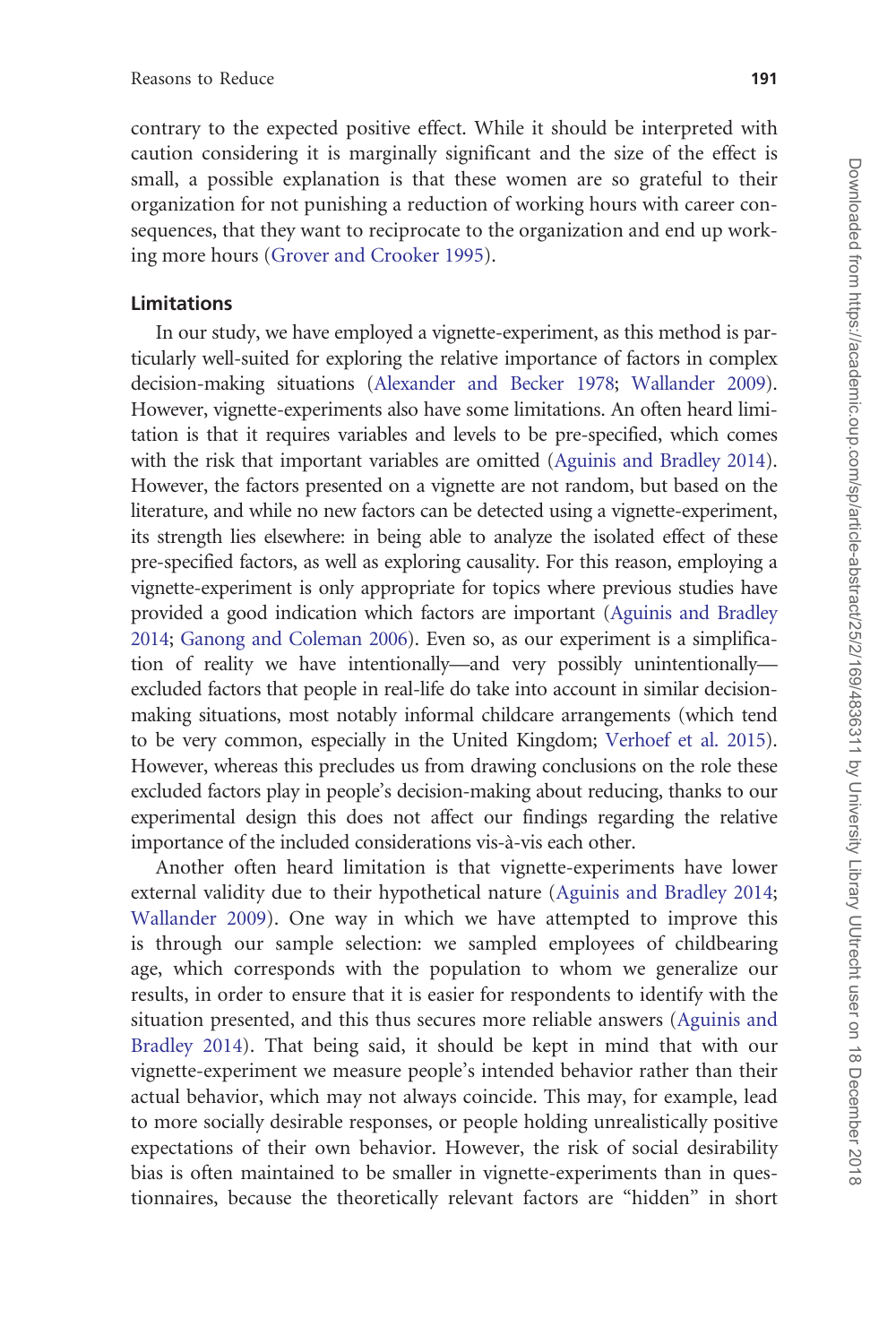contrary to the expected positive effect. While it should be interpreted with caution considering it is marginally significant and the size of the effect is small, a possible explanation is that these women are so grateful to their organization for not punishing a reduction of working hours with career consequences, that they want to reciprocate to the organization and end up working more hours ([Grover and Crooker 1995](#page-28-0)).

#### Limitations

In our study, we have employed a vignette-experiment, as this method is particularly well-suited for exploring the relative importance of factors in complex decision-making situations [\(Alexander and Becker 1978](#page-26-0); [Wallander 2009](#page-31-0)). However, vignette-experiments also have some limitations. An often heard limitation is that it requires variables and levels to be pre-specified, which comes with the risk that important variables are omitted [\(Aguinis and Bradley 2014](#page-26-0)). However, the factors presented on a vignette are not random, but based on the literature, and while no new factors can be detected using a vignette-experiment, its strength lies elsewhere: in being able to analyze the isolated effect of these pre-specified factors, as well as exploring causality. For this reason, employing a vignette-experiment is only appropriate for topics where previous studies have provided a good indication which factors are important [\(Aguinis and Bradley](#page-26-0) [2014](#page-26-0); [Ganong and Coleman 2006](#page-28-0)). Even so, as our experiment is a simplification of reality we have intentionally—and very possibly unintentionally excluded factors that people in real-life do take into account in similar decisionmaking situations, most notably informal childcare arrangements (which tend to be very common, especially in the United Kingdom; [Verhoef et al. 2015](#page-31-0)). However, whereas this precludes us from drawing conclusions on the role these excluded factors play in people's decision-making about reducing, thanks to our experimental design this does not affect our findings regarding the relative importance of the included considerations vis-à-vis each other.

Another often heard limitation is that vignette-experiments have lower external validity due to their hypothetical nature [\(Aguinis and Bradley 2014;](#page-26-0) [Wallander 2009](#page-31-0)). One way in which we have attempted to improve this is through our sample selection: we sampled employees of childbearing age, which corresponds with the population to whom we generalize our results, in order to ensure that it is easier for respondents to identify with the situation presented, and this thus secures more reliable answers [\(Aguinis and](#page-26-0) [Bradley 2014\)](#page-26-0). That being said, it should be kept in mind that with our vignette-experiment we measure people's intended behavior rather than their actual behavior, which may not always coincide. This may, for example, lead to more socially desirable responses, or people holding unrealistically positive expectations of their own behavior. However, the risk of social desirability bias is often maintained to be smaller in vignette-experiments than in questionnaires, because the theoretically relevant factors are "hidden" in short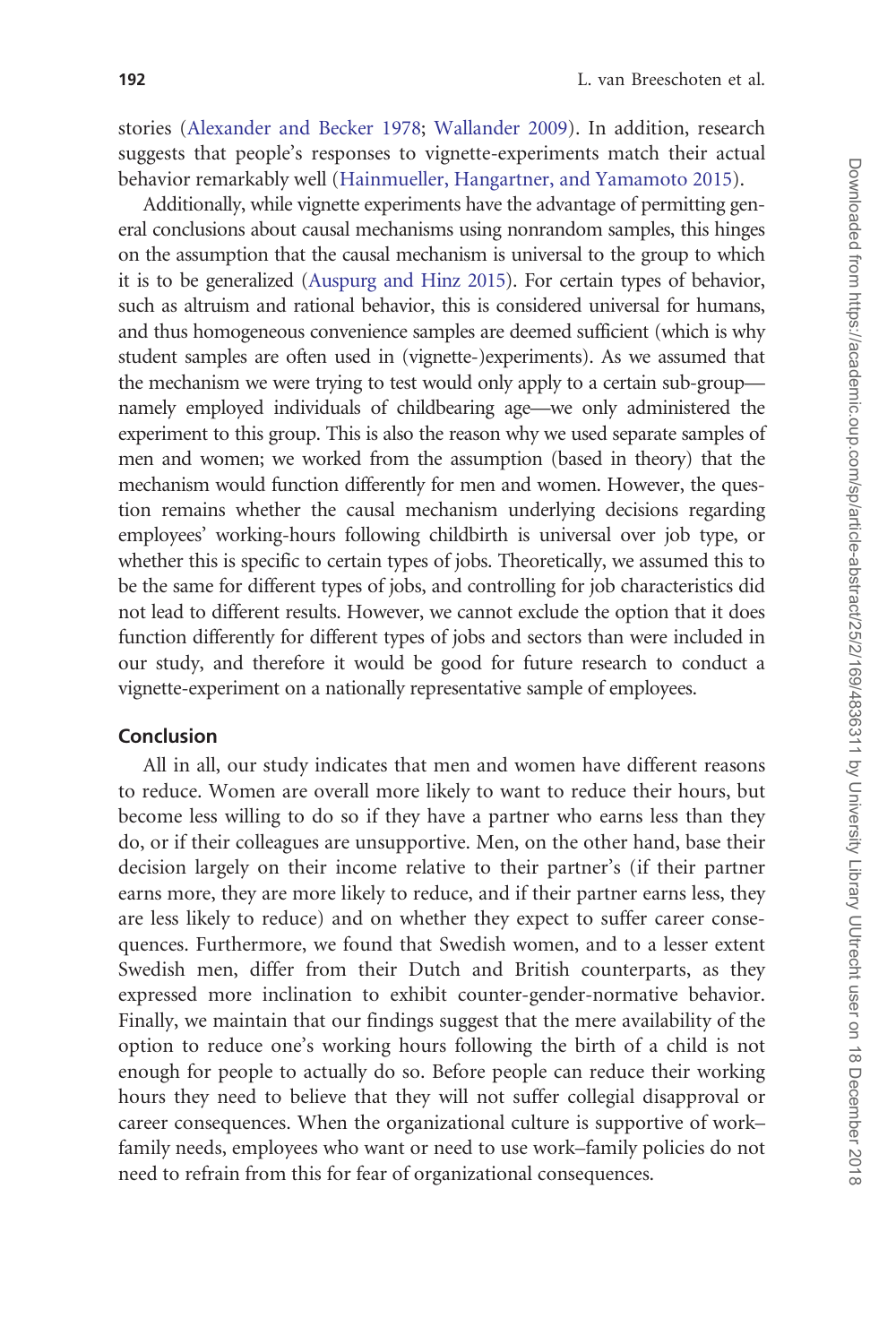stories [\(Alexander and Becker 1978;](#page-26-0) [Wallander 2009\)](#page-31-0). In addition, research suggests that people's responses to vignette-experiments match their actual behavior remarkably well ([Hainmueller, Hangartner, and Yamamoto 2015\)](#page-28-0).

Additionally, while vignette experiments have the advantage of permitting general conclusions about causal mechanisms using nonrandom samples, this hinges on the assumption that the causal mechanism is universal to the group to which it is to be generalized ([Auspurg and Hinz 2015\)](#page-26-0). For certain types of behavior, such as altruism and rational behavior, this is considered universal for humans, and thus homogeneous convenience samples are deemed sufficient (which is why student samples are often used in (vignette-)experiments). As we assumed that the mechanism we were trying to test would only apply to a certain sub-group namely employed individuals of childbearing age—we only administered the experiment to this group. This is also the reason why we used separate samples of men and women; we worked from the assumption (based in theory) that the mechanism would function differently for men and women. However, the question remains whether the causal mechanism underlying decisions regarding employees' working-hours following childbirth is universal over job type, or whether this is specific to certain types of jobs. Theoretically, we assumed this to be the same for different types of jobs, and controlling for job characteristics did not lead to different results. However, we cannot exclude the option that it does function differently for different types of jobs and sectors than were included in our study, and therefore it would be good for future research to conduct a vignette-experiment on a nationally representative sample of employees.

#### Conclusion

All in all, our study indicates that men and women have different reasons to reduce. Women are overall more likely to want to reduce their hours, but become less willing to do so if they have a partner who earns less than they do, or if their colleagues are unsupportive. Men, on the other hand, base their decision largely on their income relative to their partner's (if their partner earns more, they are more likely to reduce, and if their partner earns less, they are less likely to reduce) and on whether they expect to suffer career consequences. Furthermore, we found that Swedish women, and to a lesser extent Swedish men, differ from their Dutch and British counterparts, as they expressed more inclination to exhibit counter-gender-normative behavior. Finally, we maintain that our findings suggest that the mere availability of the option to reduce one's working hours following the birth of a child is not enough for people to actually do so. Before people can reduce their working hours they need to believe that they will not suffer collegial disapproval or career consequences. When the organizational culture is supportive of work– family needs, employees who want or need to use work–family policies do not need to refrain from this for fear of organizational consequences.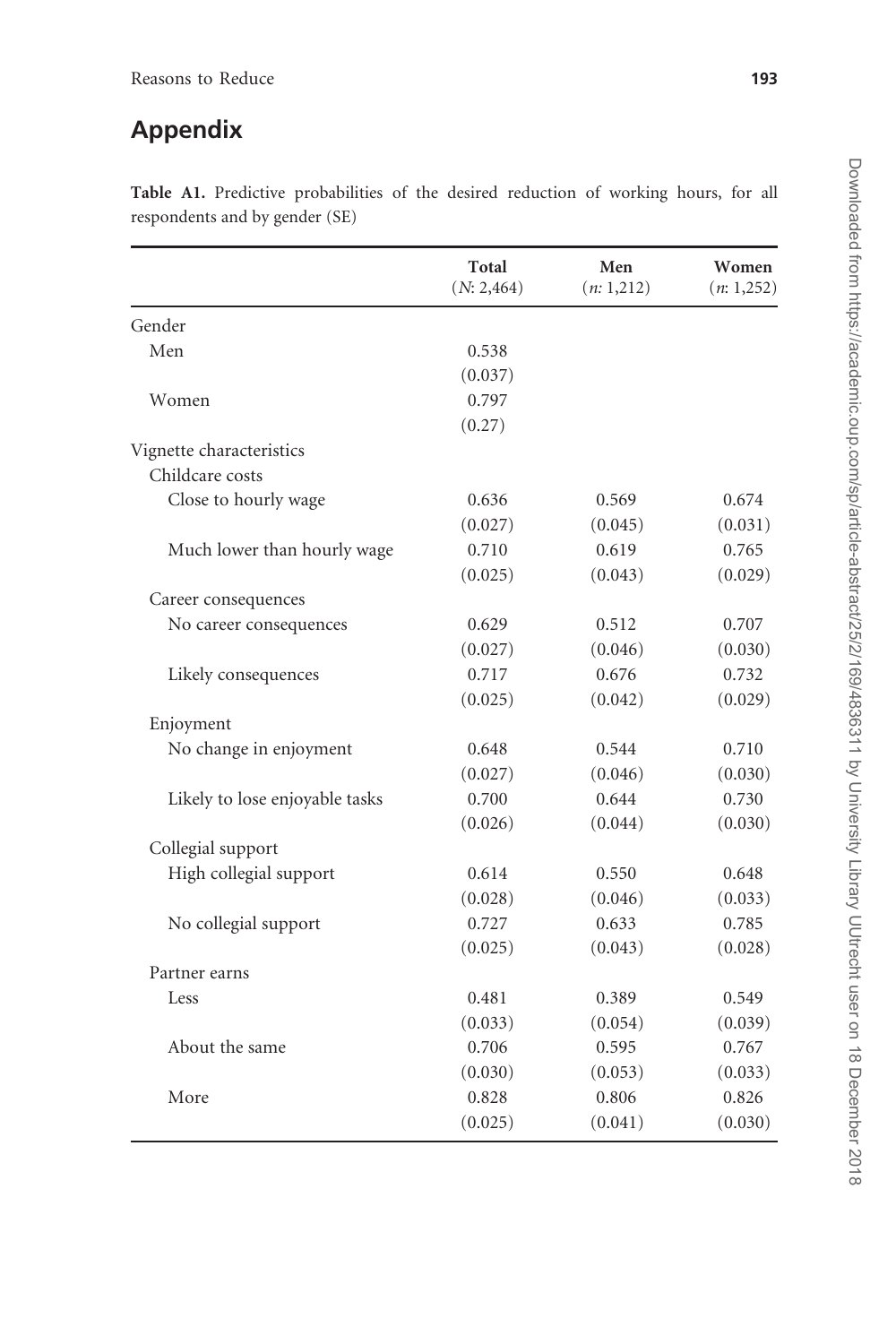# Appendix

|                                | Total<br>(N: 2,464) | Men<br>(n: 1,212) | Women<br>(n: 1,252) |
|--------------------------------|---------------------|-------------------|---------------------|
| Gender                         |                     |                   |                     |
| Men                            | 0.538               |                   |                     |
|                                | (0.037)             |                   |                     |
| Women                          | 0.797               |                   |                     |
|                                | (0.27)              |                   |                     |
| Vignette characteristics       |                     |                   |                     |
| Childcare costs                |                     |                   |                     |
| Close to hourly wage           | 0.636               | 0.569             | 0.674               |
|                                | (0.027)             | (0.045)           | (0.031)             |
| Much lower than hourly wage    | 0.710               | 0.619             | 0.765               |
|                                | (0.025)             | (0.043)           | (0.029)             |
| Career consequences            |                     |                   |                     |
| No career consequences         | 0.629               | 0.512             | 0.707               |
|                                | (0.027)             | (0.046)           | (0.030)             |
| Likely consequences            | 0.717               | 0.676             | 0.732               |
|                                | (0.025)             | (0.042)           | (0.029)             |
| Enjoyment                      |                     |                   |                     |
| No change in enjoyment         | 0.648               | 0.544             | 0.710               |
|                                | (0.027)             | (0.046)           | (0.030)             |
| Likely to lose enjoyable tasks | 0.700               | 0.644             | 0.730               |
|                                | (0.026)             | (0.044)           | (0.030)             |
| Collegial support              |                     |                   |                     |
| High collegial support         | 0.614               | 0.550             | 0.648               |
|                                | (0.028)             | (0.046)           | (0.033)             |
| No collegial support           | 0.727               | 0.633             | 0.785               |
|                                | (0.025)             | (0.043)           | (0.028)             |
| Partner earns                  |                     |                   |                     |
| Less                           | 0.481               | 0.389             | 0.549               |
|                                | (0.033)             | (0.054)           | (0.039)             |
| About the same                 | 0.706               | 0.595             | 0.767               |
|                                | (0.030)             | (0.053)           | (0.033)             |
| More                           | 0.828               | 0.806             | 0.826               |
|                                | (0.025)             | (0.041)           | (0.030)             |

Table A1. Predictive probabilities of the desired reduction of working hours, for all respondents and by gender (SE)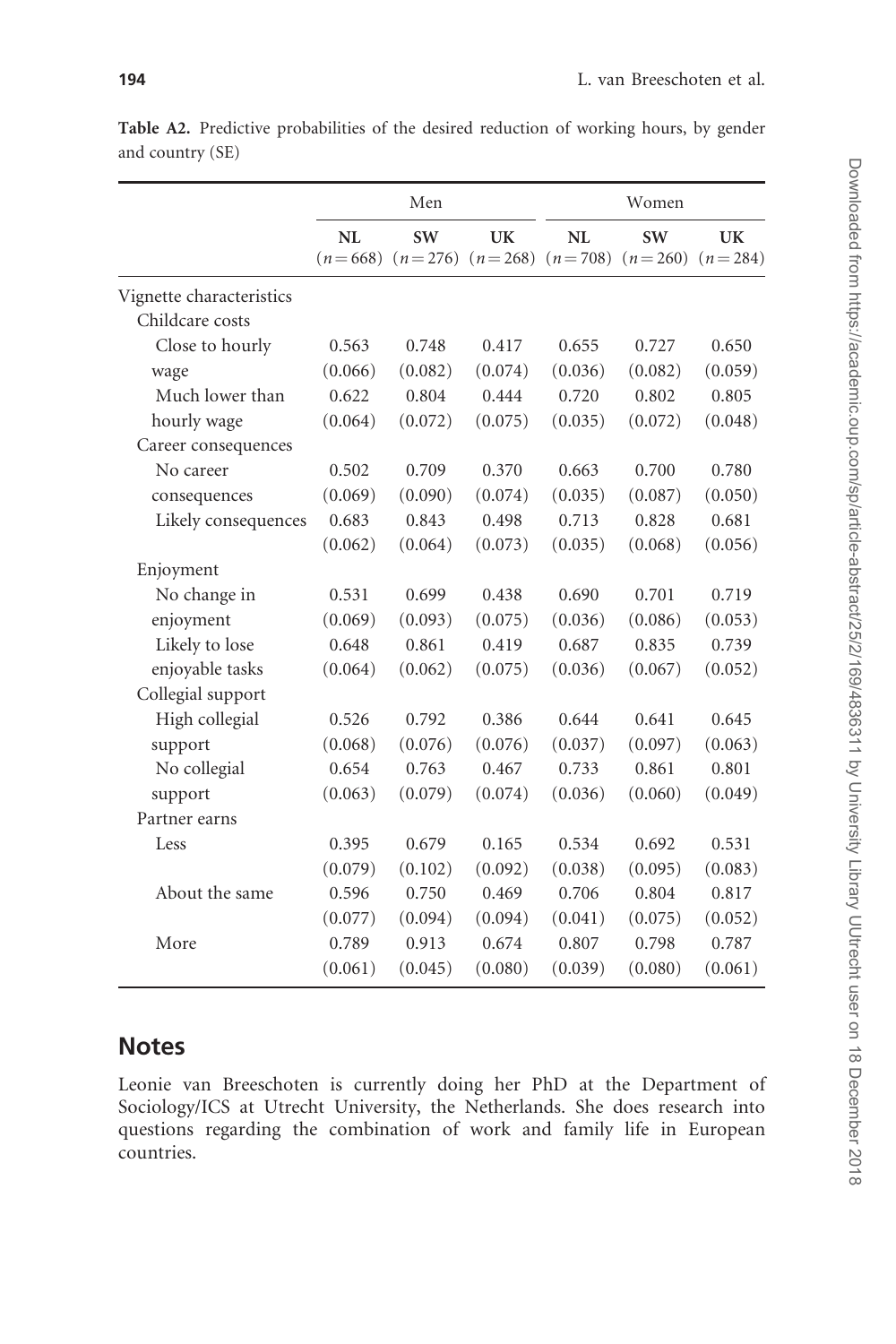|                          | Men       |           |           | Women     |           |           |  |
|--------------------------|-----------|-----------|-----------|-----------|-----------|-----------|--|
|                          | <b>NL</b> | <b>SW</b> | UK        | NL        | SW        | UK        |  |
|                          | $(n=668)$ | $(n=276)$ | $(n=268)$ | $(n=708)$ | $(n=260)$ | $(n=284)$ |  |
| Vignette characteristics |           |           |           |           |           |           |  |
| Childcare costs          |           |           |           |           |           |           |  |
| Close to hourly          | 0.563     | 0.748     | 0.417     | 0.655     | 0.727     | 0.650     |  |
| wage                     | (0.066)   | (0.082)   | (0.074)   | (0.036)   | (0.082)   | (0.059)   |  |
| Much lower than          | 0.622     | 0.804     | 0.444     | 0.720     | 0.802     | 0.805     |  |
| hourly wage              | (0.064)   | (0.072)   | (0.075)   | (0.035)   | (0.072)   | (0.048)   |  |
| Career consequences      |           |           |           |           |           |           |  |
| No career                | 0.502     | 0.709     | 0.370     | 0.663     | 0.700     | 0.780     |  |
| consequences             | (0.069)   | (0.090)   | (0.074)   | (0.035)   | (0.087)   | (0.050)   |  |
| Likely consequences      | 0.683     | 0.843     | 0.498     | 0.713     | 0.828     | 0.681     |  |
|                          | (0.062)   | (0.064)   | (0.073)   | (0.035)   | (0.068)   | (0.056)   |  |
| Enjoyment                |           |           |           |           |           |           |  |
| No change in             | 0.531     | 0.699     | 0.438     | 0.690     | 0.701     | 0.719     |  |
| enjoyment                | (0.069)   | (0.093)   | (0.075)   | (0.036)   | (0.086)   | (0.053)   |  |
| Likely to lose           | 0.648     | 0.861     | 0.419     | 0.687     | 0.835     | 0.739     |  |
| enjoyable tasks          | (0.064)   | (0.062)   | (0.075)   | (0.036)   | (0.067)   | (0.052)   |  |
| Collegial support        |           |           |           |           |           |           |  |
| High collegial           | 0.526     | 0.792     | 0.386     | 0.644     | 0.641     | 0.645     |  |
| support                  | (0.068)   | (0.076)   | (0.076)   | (0.037)   | (0.097)   | (0.063)   |  |
| No collegial             | 0.654     | 0.763     | 0.467     | 0.733     | 0.861     | 0.801     |  |
| support                  | (0.063)   | (0.079)   | (0.074)   | (0.036)   | (0.060)   | (0.049)   |  |
| Partner earns            |           |           |           |           |           |           |  |
| Less                     | 0.395     | 0.679     | 0.165     | 0.534     | 0.692     | 0.531     |  |
|                          | (0.079)   | (0.102)   | (0.092)   | (0.038)   | (0.095)   | (0.083)   |  |
| About the same           | 0.596     | 0.750     | 0.469     | 0.706     | 0.804     | 0.817     |  |
|                          | (0.077)   | (0.094)   | (0.094)   | (0.041)   | (0.075)   | (0.052)   |  |
| More                     | 0.789     | 0.913     | 0.674     | 0.807     | 0.798     | 0.787     |  |
|                          | (0.061)   | (0.045)   | (0.080)   | (0.039)   | (0.080)   | (0.061)   |  |

Table A2. Predictive probabilities of the desired reduction of working hours, by gender and country (SE)

## **Notes**

Leonie van Breeschoten is currently doing her PhD at the Department of Sociology/ICS at Utrecht University, the Netherlands. She does research into questions regarding the combination of work and family life in European countries.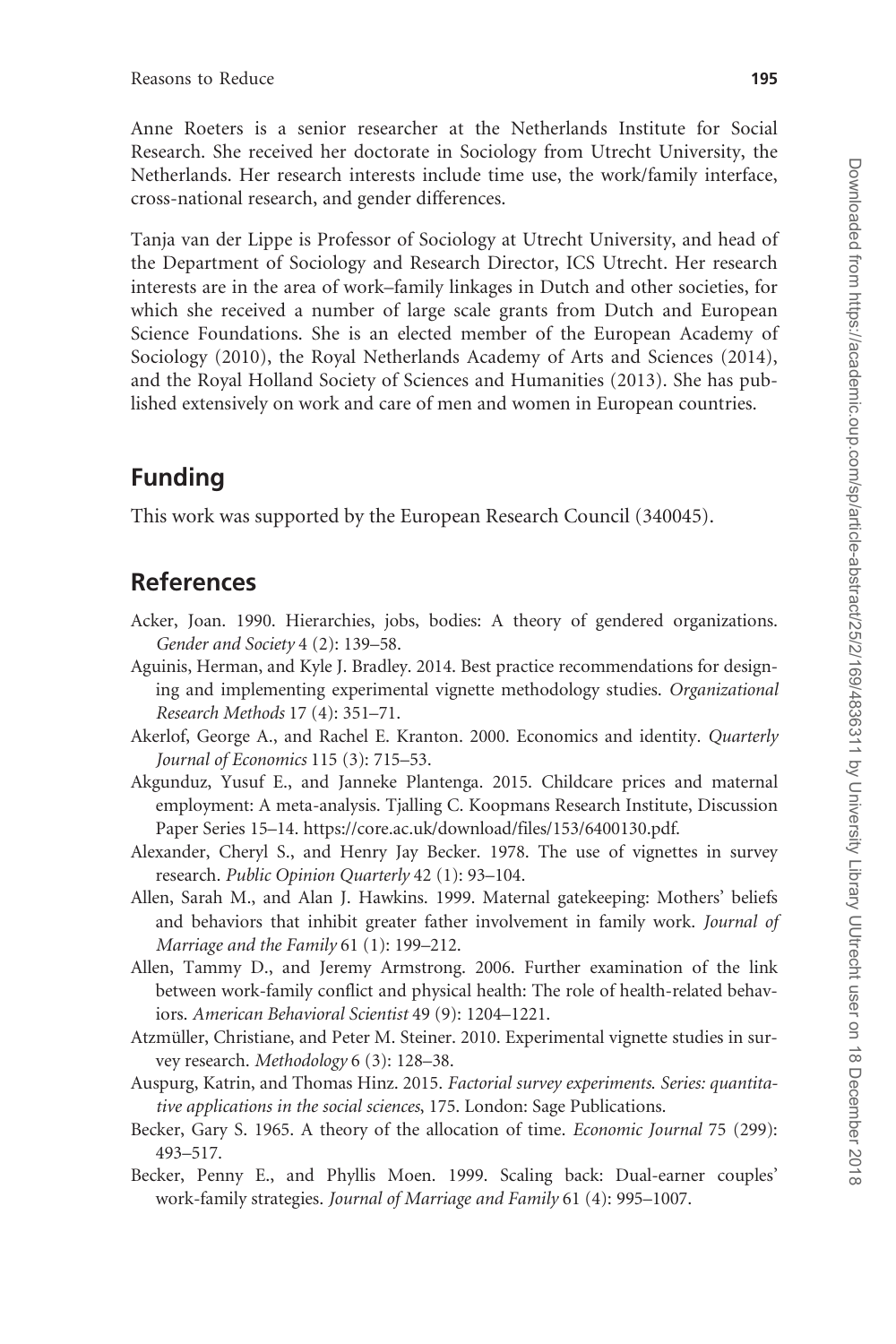<span id="page-26-0"></span>Anne Roeters is a senior researcher at the Netherlands Institute for Social Research. She received her doctorate in Sociology from Utrecht University, the Netherlands. Her research interests include time use, the work/family interface, cross-national research, and gender differences.

Tanja van der Lippe is Professor of Sociology at Utrecht University, and head of the Department of Sociology and Research Director, ICS Utrecht. Her research interests are in the area of work–family linkages in Dutch and other societies, for which she received a number of large scale grants from Dutch and European Science Foundations. She is an elected member of the European Academy of Sociology (2010), the Royal Netherlands Academy of Arts and Sciences (2014), and the Royal Holland Society of Sciences and Humanities (2013). She has published extensively on work and care of men and women in European countries.

# Funding

This work was supported by the European Research Council (340045).

### References

- Acker, Joan. 1990. Hierarchies, jobs, bodies: A theory of gendered organizations. Gender and Society 4 (2): 139–58.
- Aguinis, Herman, and Kyle J. Bradley. 2014. Best practice recommendations for designing and implementing experimental vignette methodology studies. Organizational Research Methods 17 (4): 351–71.
- Akerlof, George A., and Rachel E. Kranton. 2000. Economics and identity. Quarterly Journal of Economics 115 (3): 715–53.
- Akgunduz, Yusuf E., and Janneke Plantenga. 2015. Childcare prices and maternal employment: A meta-analysis. Tjalling C. Koopmans Research Institute, Discussion Paper Series 15–14. [https://core.ac.uk/download/files/153/6400130.pdf.](https://core.ac.uk/download/files/153/6400130.pdf)
- Alexander, Cheryl S., and Henry Jay Becker. 1978. The use of vignettes in survey research. Public Opinion Quarterly 42 (1): 93–104.
- Allen, Sarah M., and Alan J. Hawkins. 1999. Maternal gatekeeping: Mothers' beliefs and behaviors that inhibit greater father involvement in family work. *Journal of* Marriage and the Family 61 (1): 199–212.
- Allen, Tammy D., and Jeremy Armstrong. 2006. Further examination of the link between work-family conflict and physical health: The role of health-related behaviors. American Behavioral Scientist 49 (9): 1204–1221.
- Atzmüller, Christiane, and Peter M. Steiner. 2010. Experimental vignette studies in survey research. Methodology 6 (3): 128–38.
- Auspurg, Katrin, and Thomas Hinz. 2015. Factorial survey experiments. Series: quantitative applications in the social sciences, 175. London: Sage Publications.
- Becker, Gary S. 1965. A theory of the allocation of time. Economic Journal 75 (299): 493–517.
- Becker, Penny E., and Phyllis Moen. 1999. Scaling back: Dual-earner couples' work-family strategies. Journal of Marriage and Family 61 (4): 995–1007.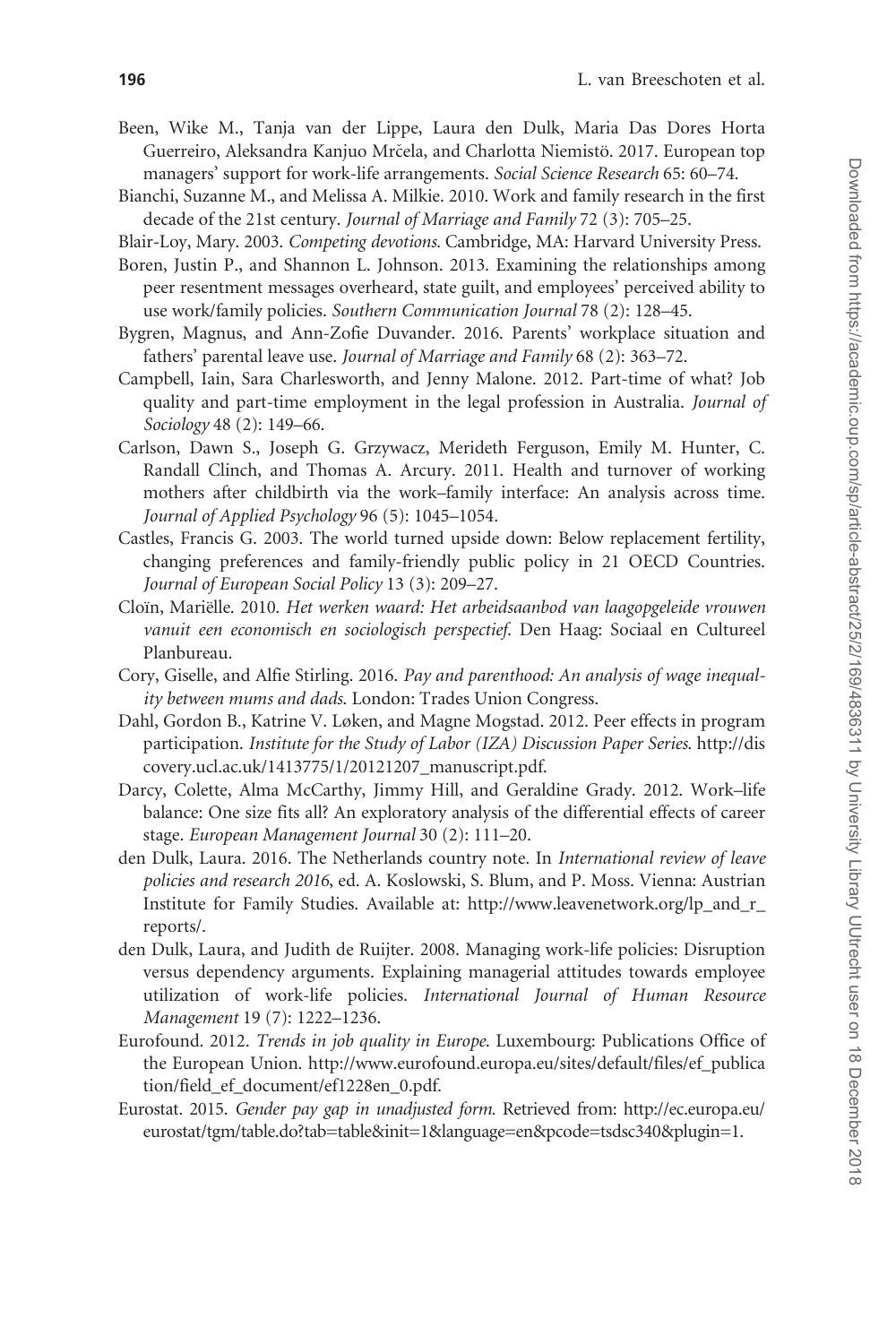- <span id="page-27-0"></span>Been, Wike M., Tanja van der Lippe, Laura den Dulk, Maria Das Dores Horta Guerreiro, Aleksandra Kanjuo Mrčela, and Charlotta Niemistö. 2017. European top managers' support for work-life arrangements. Social Science Research 65: 60–74.
- Bianchi, Suzanne M., and Melissa A. Milkie. 2010. Work and family research in the first decade of the 21st century. Journal of Marriage and Family 72 (3): 705–25.
- Blair-Loy, Mary. 2003. Competing devotions. Cambridge, MA: Harvard University Press.
- Boren, Justin P., and Shannon L. Johnson. 2013. Examining the relationships among peer resentment messages overheard, state guilt, and employees' perceived ability to use work/family policies. Southern Communication Journal 78 (2): 128–45.
- Bygren, Magnus, and Ann-Zofie Duvander. 2016. Parents' workplace situation and fathers' parental leave use. Journal of Marriage and Family 68 (2): 363–72.
- Campbell, Iain, Sara Charlesworth, and Jenny Malone. 2012. Part-time of what? Job quality and part-time employment in the legal profession in Australia. Journal of Sociology 48 (2): 149–66.
- Carlson, Dawn S., Joseph G. Grzywacz, Merideth Ferguson, Emily M. Hunter, C. Randall Clinch, and Thomas A. Arcury. 2011. Health and turnover of working mothers after childbirth via the work–family interface: An analysis across time. Journal of Applied Psychology 96 (5): 1045–1054.
- Castles, Francis G. 2003. The world turned upside down: Below replacement fertility, changing preferences and family-friendly public policy in 21 OECD Countries. Journal of European Social Policy 13 (3): 209–27.
- Cloïn, Mariëlle. 2010. Het werken waard: Het arbeidsaanbod van laagopgeleide vrouwen vanuit een economisch en sociologisch perspectief. Den Haag: Sociaal en Cultureel Planbureau.
- Cory, Giselle, and Alfie Stirling. 2016. Pay and parenthood: An analysis of wage inequality between mums and dads. London: Trades Union Congress.
- Dahl, Gordon B., Katrine V. Løken, and Magne Mogstad. 2012. Peer effects in program participation. Institute for the Study of Labor (IZA) Discussion Paper Series. [http://dis](http://discovery.ucl.ac.uk/1413775/1/20121207_manuscript.pdf) [covery.ucl.ac.uk/1413775/1/20121207\\_manuscript.pdf.](http://discovery.ucl.ac.uk/1413775/1/20121207_manuscript.pdf)
- Darcy, Colette, Alma McCarthy, Jimmy Hill, and Geraldine Grady. 2012. Work–life balance: One size fits all? An exploratory analysis of the differential effects of career stage. European Management Journal 30 (2): 111–20.
- den Dulk, Laura. 2016. The Netherlands country note. In International review of leave policies and research 2016, ed. A. Koslowski, S. Blum, and P. Moss. Vienna: Austrian Institute for Family Studies. Available at: [http://www.leavenetwork.org/lp\\_and\\_r\\_](http://www.leavenetwork.org/lp_and_r_reports/) [reports/](http://www.leavenetwork.org/lp_and_r_reports/).
- den Dulk, Laura, and Judith de Ruijter. 2008. Managing work-life policies: Disruption versus dependency arguments. Explaining managerial attitudes towards employee utilization of work-life policies. International Journal of Human Resource Management 19 (7): 1222–1236.
- Eurofound. 2012. Trends in job quality in Europe. Luxembourg: Publications Office of the European Union. [http://www.eurofound.europa.eu/sites/default/files/ef\\_publica](http://www.eurofound.europa.eu/sites/default/files/ef_publication/field_ef_document/ef1228en_0.pdf) [tion/field\\_ef\\_document/ef1228en\\_0.pdf.](http://www.eurofound.europa.eu/sites/default/files/ef_publication/field_ef_document/ef1228en_0.pdf)
- Eurostat. 2015. Gender pay gap in unadjusted form. Retrieved from: [http://ec.europa.eu/](http://ec.europa.eu/eurostat/tgm/table.do?tab=table&init=1&language=en&pcode=tsdsc340&plugin=1) [eurostat/tgm/table.do?tab=table&init=1&language=en&pcode=tsdsc340&plugin=1.](http://ec.europa.eu/eurostat/tgm/table.do?tab=table&init=1&language=en&pcode=tsdsc340&plugin=1)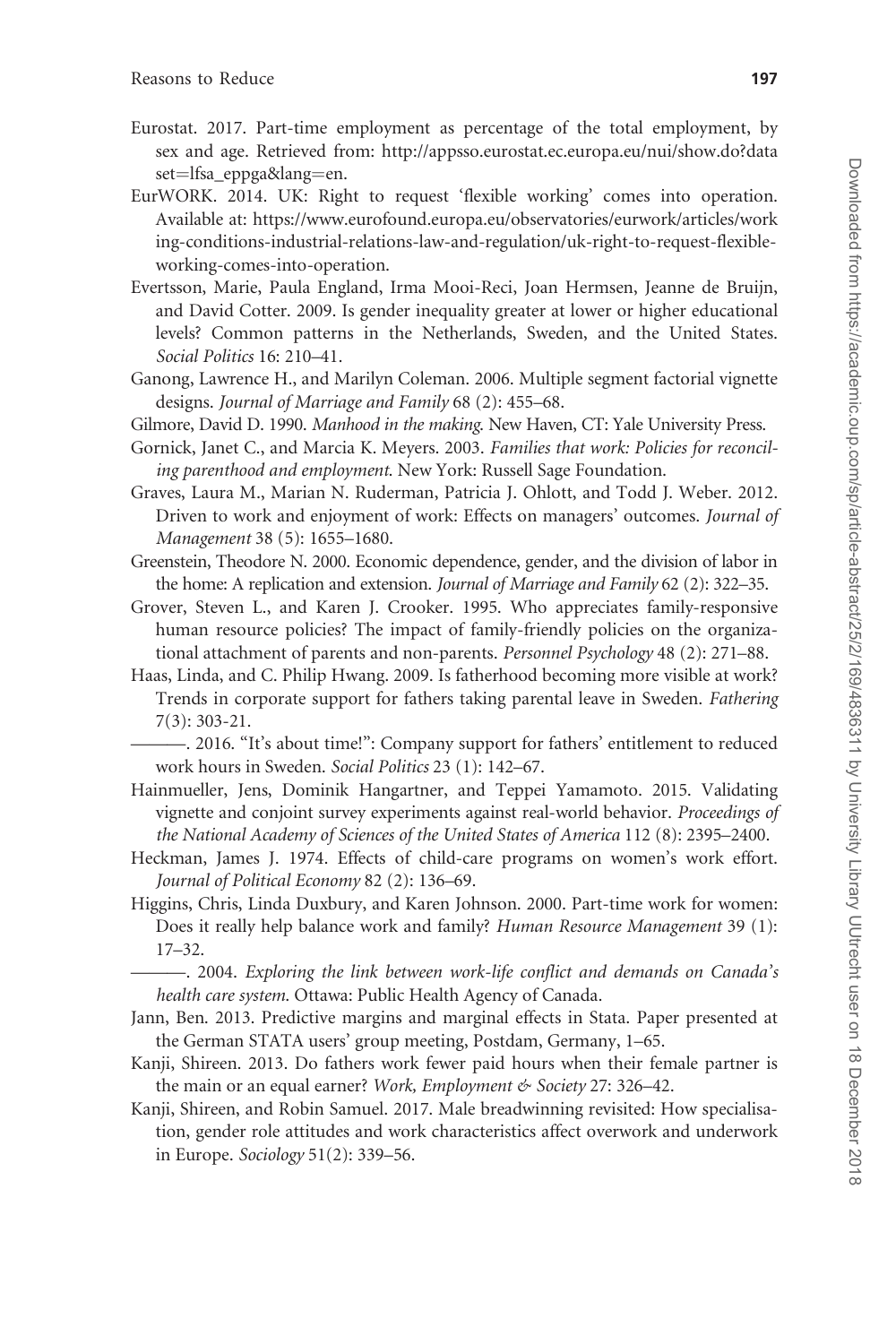- <span id="page-28-0"></span>Eurostat. 2017. Part-time employment as percentage of the total employment, by sex and age. Retrieved from: [http://appsso.eurostat.ec.europa.eu/nui/show.do?data](http://appsso.eurostat.ec.europa.eu/nui/show.do?dataset=lfsa_eppga&hx0026;lang=en) [set](http://appsso.eurostat.ec.europa.eu/nui/show.do?dataset=lfsa_eppga&hx0026;lang=en)=[lfsa\\_eppga&lang](http://appsso.eurostat.ec.europa.eu/nui/show.do?dataset=lfsa_eppga&hx0026;lang=en)=[en](http://appsso.eurostat.ec.europa.eu/nui/show.do?dataset=lfsa_eppga&hx0026;lang=en).
- EurWORK. 2014. UK: Right to request 'flexible working' comes into operation. Available at: [https://www.eurofound.europa.eu/observatories/eurwork/articles/work](https://www.eurofound.europa.eu/observatories/eurwork/articles/working-conditions-industrial-relations-law-and-regulation/uk-right-to-request-flexible-working-comes-into-operation) [ing-conditions-industrial-relations-law-and-regulation/uk-right-to-request-flexible](https://www.eurofound.europa.eu/observatories/eurwork/articles/working-conditions-industrial-relations-law-and-regulation/uk-right-to-request-flexible-working-comes-into-operation)[working-comes-into-operation.](https://www.eurofound.europa.eu/observatories/eurwork/articles/working-conditions-industrial-relations-law-and-regulation/uk-right-to-request-flexible-working-comes-into-operation)
- Evertsson, Marie, Paula England, Irma Mooi-Reci, Joan Hermsen, Jeanne de Bruijn, and David Cotter. 2009. Is gender inequality greater at lower or higher educational levels? Common patterns in the Netherlands, Sweden, and the United States. Social Politics 16: 210–41.
- Ganong, Lawrence H., and Marilyn Coleman. 2006. Multiple segment factorial vignette designs. Journal of Marriage and Family 68 (2): 455–68.
- Gilmore, David D. 1990. Manhood in the making. New Haven, CT: Yale University Press.
- Gornick, Janet C., and Marcia K. Meyers. 2003. Families that work: Policies for reconciling parenthood and employment. New York: Russell Sage Foundation.
- Graves, Laura M., Marian N. Ruderman, Patricia J. Ohlott, and Todd J. Weber. 2012. Driven to work and enjoyment of work: Effects on managers' outcomes. Journal of Management 38 (5): 1655–1680.
- Greenstein, Theodore N. 2000. Economic dependence, gender, and the division of labor in the home: A replication and extension. Journal of Marriage and Family 62 (2): 322–35.
- Grover, Steven L., and Karen J. Crooker. 1995. Who appreciates family-responsive human resource policies? The impact of family-friendly policies on the organizational attachment of parents and non-parents. Personnel Psychology 48 (2): 271–88.
- Haas, Linda, and C. Philip Hwang. 2009. Is fatherhood becoming more visible at work? Trends in corporate support for fathers taking parental leave in Sweden. Fathering 7(3): 303-21.

———. 2016. "It's about time!": Company support for fathers' entitlement to reduced work hours in Sweden. Social Politics 23 (1): 142–67.

- Hainmueller, Jens, Dominik Hangartner, and Teppei Yamamoto. 2015. Validating vignette and conjoint survey experiments against real-world behavior. Proceedings of the National Academy of Sciences of the United States of America 112 (8): 2395–2400.
- Heckman, James J. 1974. Effects of child-care programs on women's work effort. Journal of Political Economy 82 (2): 136–69.
- Higgins, Chris, Linda Duxbury, and Karen Johnson. 2000. Part-time work for women: Does it really help balance work and family? Human Resource Management 39 (1): 17–32.

———. 2004. Exploring the link between work-life conflict and demands on Canada's health care system. Ottawa: Public Health Agency of Canada.

- Jann, Ben. 2013. Predictive margins and marginal effects in Stata. Paper presented at the German STATA users' group meeting, Postdam, Germany, 1–65.
- Kanji, Shireen. 2013. Do fathers work fewer paid hours when their female partner is the main or an equal earner? Work, Employment & Society 27: 326–42.
- Kanji, Shireen, and Robin Samuel. 2017. Male breadwinning revisited: How specialisation, gender role attitudes and work characteristics affect overwork and underwork in Europe. Sociology 51(2): 339–56.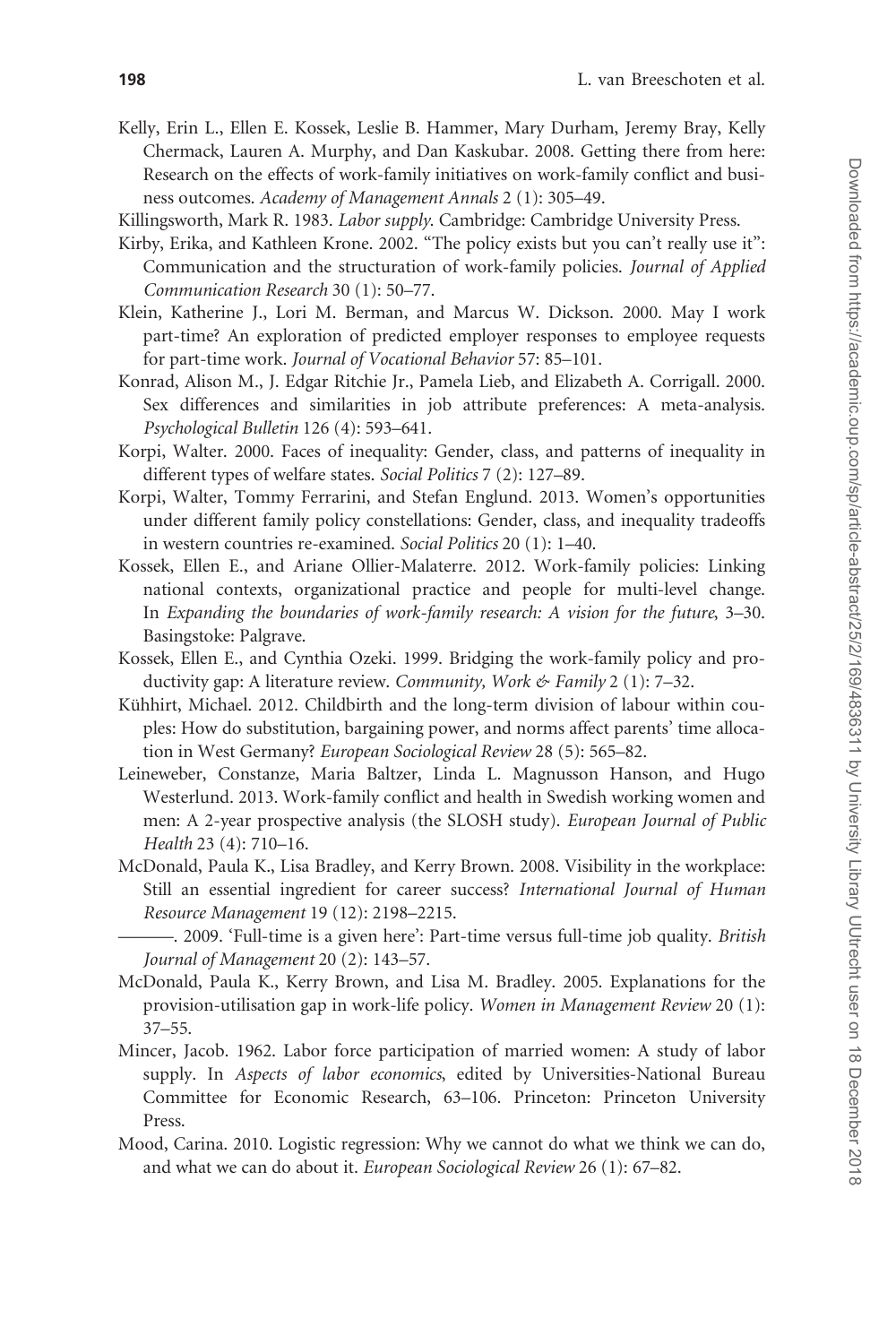- <span id="page-29-0"></span>Kelly, Erin L., Ellen E. Kossek, Leslie B. Hammer, Mary Durham, Jeremy Bray, Kelly Chermack, Lauren A. Murphy, and Dan Kaskubar. 2008. Getting there from here: Research on the effects of work-family initiatives on work-family conflict and business outcomes. Academy of Management Annals 2 (1): 305–49.
- Killingsworth, Mark R. 1983. Labor supply. Cambridge: Cambridge University Press.
- Kirby, Erika, and Kathleen Krone. 2002. "The policy exists but you can't really use it": Communication and the structuration of work-family policies. Journal of Applied Communication Research 30 (1): 50–77.
- Klein, Katherine J., Lori M. Berman, and Marcus W. Dickson. 2000. May I work part-time? An exploration of predicted employer responses to employee requests for part-time work. Journal of Vocational Behavior 57: 85–101.
- Konrad, Alison M., J. Edgar Ritchie Jr., Pamela Lieb, and Elizabeth A. Corrigall. 2000. Sex differences and similarities in job attribute preferences: A meta-analysis. Psychological Bulletin 126 (4): 593–641.
- Korpi, Walter. 2000. Faces of inequality: Gender, class, and patterns of inequality in different types of welfare states. Social Politics 7 (2): 127–89.
- Korpi, Walter, Tommy Ferrarini, and Stefan Englund. 2013. Women's opportunities under different family policy constellations: Gender, class, and inequality tradeoffs in western countries re-examined. Social Politics 20 (1): 1–40.
- Kossek, Ellen E., and Ariane Ollier-Malaterre. 2012. Work-family policies: Linking national contexts, organizational practice and people for multi-level change. In Expanding the boundaries of work-family research: A vision for the future, 3–30. Basingstoke: Palgrave.
- Kossek, Ellen E., and Cynthia Ozeki. 1999. Bridging the work-family policy and productivity gap: A literature review. Community, Work & Family 2 (1): 7-32.
- Kühhirt, Michael. 2012. Childbirth and the long-term division of labour within couples: How do substitution, bargaining power, and norms affect parents' time allocation in West Germany? European Sociological Review 28 (5): 565–82.
- Leineweber, Constanze, Maria Baltzer, Linda L. Magnusson Hanson, and Hugo Westerlund. 2013. Work-family conflict and health in Swedish working women and men: A 2-year prospective analysis (the SLOSH study). European Journal of Public Health 23 (4): 710–16.
- McDonald, Paula K., Lisa Bradley, and Kerry Brown. 2008. Visibility in the workplace: Still an essential ingredient for career success? International Journal of Human Resource Management 19 (12): 2198–2215.
	- ———. 2009. 'Full-time is a given here': Part-time versus full-time job quality. British Journal of Management 20 (2): 143–57.
- McDonald, Paula K., Kerry Brown, and Lisa M. Bradley. 2005. Explanations for the provision-utilisation gap in work-life policy. Women in Management Review 20 (1): 37–55.
- Mincer, Jacob. 1962. Labor force participation of married women: A study of labor supply. In Aspects of labor economics, edited by Universities-National Bureau Committee for Economic Research, 63–106. Princeton: Princeton University Press.
- Mood, Carina. 2010. Logistic regression: Why we cannot do what we think we can do, and what we can do about it. European Sociological Review 26 (1): 67–82.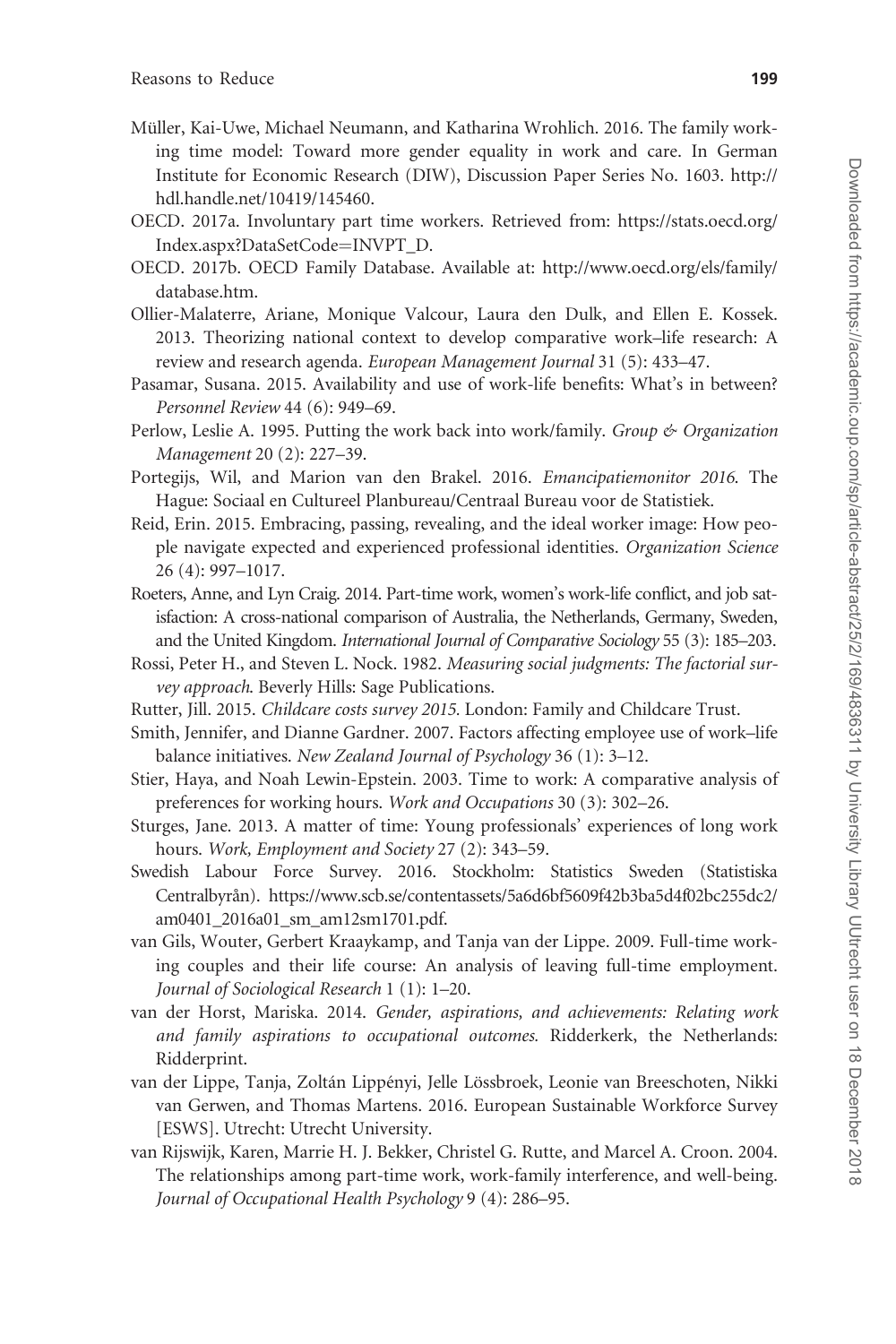- <span id="page-30-0"></span>Müller, Kai-Uwe, Michael Neumann, and Katharina Wrohlich. 2016. The family working time model: Toward more gender equality in work and care. In German Institute for Economic Research (DIW), Discussion Paper Series No. 1603. [http://](http://hdl.handle.net/10419/145460) [hdl.handle.net/10419/145460.](http://hdl.handle.net/10419/145460)
- OECD. 2017a. Involuntary part time workers. Retrieved from: [https://stats.oecd.org/](https://stats.oecd.org/Index.aspx?DataSetCode=INVPT_D) [Index.aspx?DataSetCode](https://stats.oecd.org/Index.aspx?DataSetCode=INVPT_D)¼[INVPT\\_D.](https://stats.oecd.org/Index.aspx?DataSetCode=INVPT_D)
- OECD. 2017b. OECD Family Database. Available at: [http://www.oecd.org/els/family/](http://www.oecd.org/els/family/database.htm) [database.htm](http://www.oecd.org/els/family/database.htm).
- Ollier-Malaterre, Ariane, Monique Valcour, Laura den Dulk, and Ellen E. Kossek. 2013. Theorizing national context to develop comparative work–life research: A review and research agenda. European Management Journal 31 (5): 433–47.
- Pasamar, Susana. 2015. Availability and use of work-life benefits: What's in between? Personnel Review 44 (6): 949–69.
- Perlow, Leslie A. 1995. Putting the work back into work/family. Group  $\&$  Organization Management 20 (2): 227–39.
- Portegijs, Wil, and Marion van den Brakel. 2016. Emancipatiemonitor 2016. The Hague: Sociaal en Cultureel Planbureau/Centraal Bureau voor de Statistiek.
- Reid, Erin. 2015. Embracing, passing, revealing, and the ideal worker image: How people navigate expected and experienced professional identities. Organization Science 26 (4): 997–1017.
- Roeters, Anne, and Lyn Craig. 2014. Part-time work, women's work-life conflict, and job satisfaction: A cross-national comparison of Australia, the Netherlands, Germany, Sweden, and the United Kingdom. International Journal of Comparative Sociology 55 (3): 185–203.
- Rossi, Peter H., and Steven L. Nock. 1982. Measuring social judgments: The factorial survey approach. Beverly Hills: Sage Publications.
- Rutter, Jill. 2015. Childcare costs survey 2015. London: Family and Childcare Trust.
- Smith, Jennifer, and Dianne Gardner. 2007. Factors affecting employee use of work–life balance initiatives. New Zealand Journal of Psychology 36 (1): 3–12.
- Stier, Haya, and Noah Lewin-Epstein. 2003. Time to work: A comparative analysis of preferences for working hours. Work and Occupations 30 (3): 302–26.
- Sturges, Jane. 2013. A matter of time: Young professionals' experiences of long work hours. Work, Employment and Society 27 (2): 343–59.
- Swedish Labour Force Survey. 2016. Stockholm: Statistics Sweden (Statistiska Centralbyra˚n). [https://www.scb.se/contentassets/5a6d6bf5609f42b3ba5d4f02bc255dc2/](https://www.scb.se/contentassets/5a6d6bf5609f42b3ba5d4f02bc255dc2/am0401_2016a01_sm_am12sm1701.pdf) [am0401\\_2016a01\\_sm\\_am12sm1701.pdf.](https://www.scb.se/contentassets/5a6d6bf5609f42b3ba5d4f02bc255dc2/am0401_2016a01_sm_am12sm1701.pdf)
- van Gils, Wouter, Gerbert Kraaykamp, and Tanja van der Lippe. 2009. Full-time working couples and their life course: An analysis of leaving full-time employment. Journal of Sociological Research 1 (1): 1–20.
- van der Horst, Mariska. 2014. Gender, aspirations, and achievements: Relating work and family aspirations to occupational outcomes. Ridderkerk, the Netherlands: Ridderprint.
- van der Lippe, Tanja, Zoltán Lippényi, Jelle Lössbroek, Leonie van Breeschoten, Nikki van Gerwen, and Thomas Martens. 2016. European Sustainable Workforce Survey [ESWS]. Utrecht: Utrecht University.
- van Rijswijk, Karen, Marrie H. J. Bekker, Christel G. Rutte, and Marcel A. Croon. 2004. The relationships among part-time work, work-family interference, and well-being. Journal of Occupational Health Psychology 9 (4): 286–95.